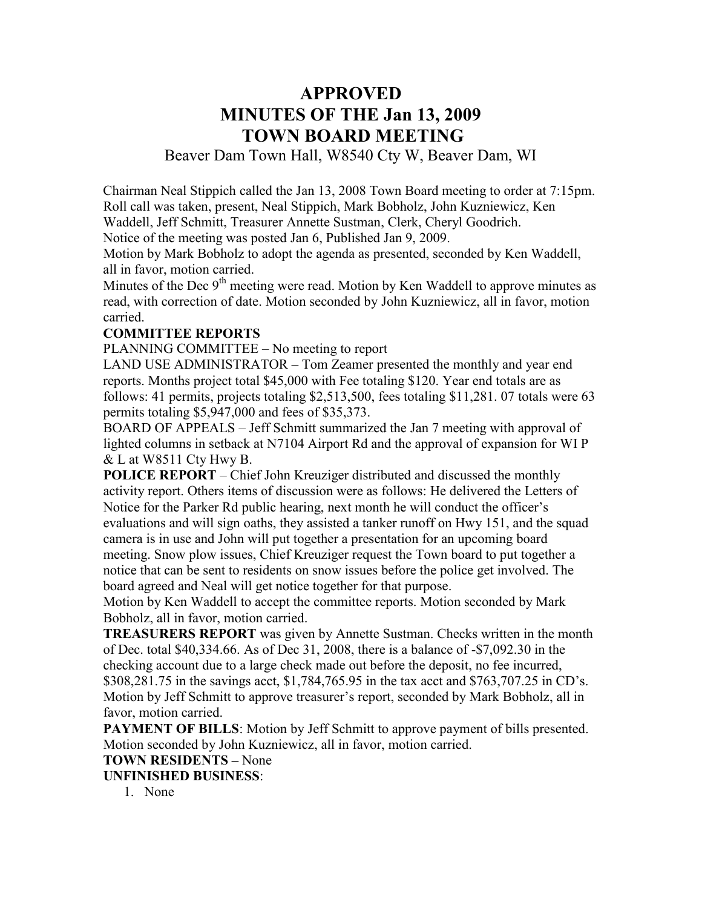# **APPROVED MINUTES OF THE Jan 13, 2009 TOWN BOARD MEETING**

Beaver Dam Town Hall, W8540 Cty W, Beaver Dam, WI

Chairman Neal Stippich called the Jan 13, 2008 Town Board meeting to order at 7:15pm. Roll call was taken, present, Neal Stippich, Mark Bobholz, John Kuzniewicz, Ken Waddell, Jeff Schmitt, Treasurer Annette Sustman, Clerk, Cheryl Goodrich. Notice of the meeting was posted Jan 6, Published Jan 9, 2009.

Motion by Mark Bobholz to adopt the agenda as presented, seconded by Ken Waddell, all in favor, motion carried.

Minutes of the Dec  $9<sup>th</sup>$  meeting were read. Motion by Ken Waddell to approve minutes as read, with correction of date. Motion seconded by John Kuzniewicz, all in favor, motion carried.

#### **COMMITTEE REPORTS**

PLANNING COMMITTEE – No meeting to report

LAND USE ADMINISTRATOR – Tom Zeamer presented the monthly and year end reports. Months project total \$45,000 with Fee totaling \$120. Year end totals are as follows: 41 permits, projects totaling \$2,513,500, fees totaling \$11,281. 07 totals were 63 permits totaling \$5,947,000 and fees of \$35,373.

BOARD OF APPEALS – Jeff Schmitt summarized the Jan 7 meeting with approval of lighted columns in setback at N7104 Airport Rd and the approval of expansion for WI P & L at W8511 Cty Hwy B.

**POLICE REPORT** – Chief John Kreuziger distributed and discussed the monthly activity report. Others items of discussion were as follows: He delivered the Letters of Notice for the Parker Rd public hearing, next month he will conduct the officer's evaluations and will sign oaths, they assisted a tanker runoff on Hwy 151, and the squad camera is in use and John will put together a presentation for an upcoming board meeting. Snow plow issues, Chief Kreuziger request the Town board to put together a notice that can be sent to residents on snow issues before the police get involved. The board agreed and Neal will get notice together for that purpose.

Motion by Ken Waddell to accept the committee reports. Motion seconded by Mark Bobholz, all in favor, motion carried.

**TREASURERS REPORT** was given by Annette Sustman. Checks written in the month of Dec. total \$40,334.66. As of Dec 31, 2008, there is a balance of -\$7,092.30 in the checking account due to a large check made out before the deposit, no fee incurred, \$308,281.75 in the savings acct, \$1,784,765.95 in the tax acct and \$763,707.25 in CD's. Motion by Jeff Schmitt to approve treasurer's report, seconded by Mark Bobholz, all in favor, motion carried.

**PAYMENT OF BILLS:** Motion by Jeff Schmitt to approve payment of bills presented. Motion seconded by John Kuzniewicz, all in favor, motion carried.

#### **TOWN RESIDENTS –** None

**UNFINISHED BUSINESS**:

1. None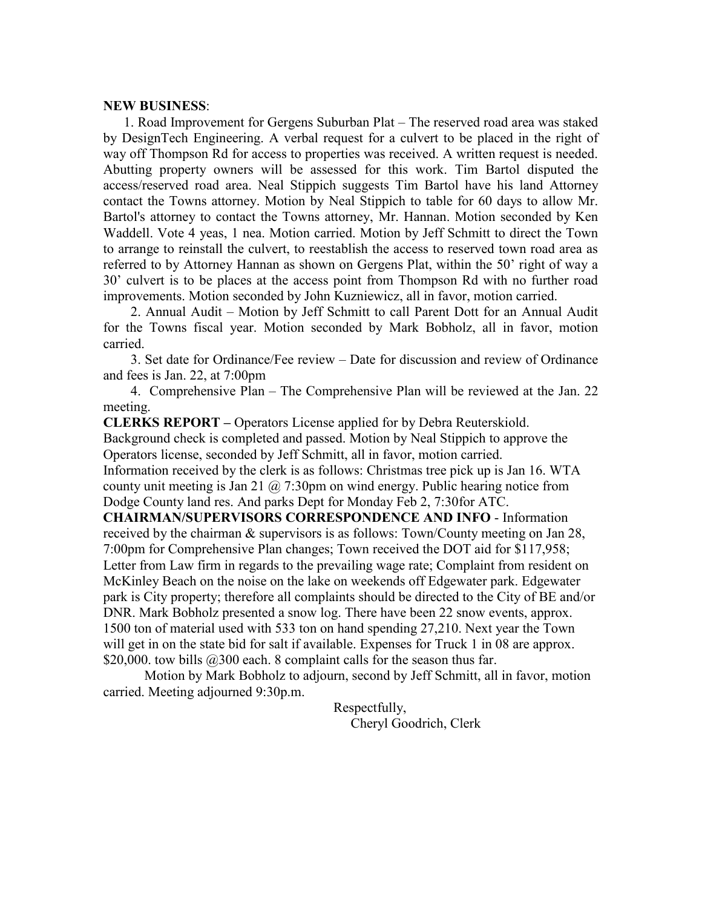#### **NEW BUSINESS**:

 1. Road Improvement for Gergens Suburban Plat – The reserved road area was staked by DesignTech Engineering. A verbal request for a culvert to be placed in the right of way off Thompson Rd for access to properties was received. A written request is needed. Abutting property owners will be assessed for this work. Tim Bartol disputed the access/reserved road area. Neal Stippich suggests Tim Bartol have his land Attorney contact the Towns attorney. Motion by Neal Stippich to table for 60 days to allow Mr. Bartol's attorney to contact the Towns attorney, Mr. Hannan. Motion seconded by Ken Waddell. Vote 4 yeas, 1 nea. Motion carried. Motion by Jeff Schmitt to direct the Town to arrange to reinstall the culvert, to reestablish the access to reserved town road area as referred to by Attorney Hannan as shown on Gergens Plat, within the 50' right of way a 30' culvert is to be places at the access point from Thompson Rd with no further road improvements. Motion seconded by John Kuzniewicz, all in favor, motion carried.

 2. Annual Audit – Motion by Jeff Schmitt to call Parent Dott for an Annual Audit for the Towns fiscal year. Motion seconded by Mark Bobholz, all in favor, motion carried.

 3. Set date for Ordinance/Fee review – Date for discussion and review of Ordinance and fees is Jan. 22, at 7:00pm

 4. Comprehensive Plan – The Comprehensive Plan will be reviewed at the Jan. 22 meeting.

**CLERKS REPORT –** Operators License applied for by Debra Reuterskiold.

Background check is completed and passed. Motion by Neal Stippich to approve the Operators license, seconded by Jeff Schmitt, all in favor, motion carried.

Information received by the clerk is as follows: Christmas tree pick up is Jan 16. WTA county unit meeting is Jan 21  $\omega$  7:30pm on wind energy. Public hearing notice from Dodge County land res. And parks Dept for Monday Feb 2, 7:30for ATC.

**CHAIRMAN/SUPERVISORS CORRESPONDENCE AND INFO** - Information received by the chairman & supervisors is as follows: Town/County meeting on Jan 28, 7:00pm for Comprehensive Plan changes; Town received the DOT aid for \$117,958; Letter from Law firm in regards to the prevailing wage rate; Complaint from resident on McKinley Beach on the noise on the lake on weekends off Edgewater park. Edgewater park is City property; therefore all complaints should be directed to the City of BE and/or DNR. Mark Bobholz presented a snow log. There have been 22 snow events, approx. 1500 ton of material used with 533 ton on hand spending 27,210. Next year the Town will get in on the state bid for salt if available. Expenses for Truck 1 in 08 are approx. \$20,000. tow bills  $@300$  each. 8 complaint calls for the season thus far.

Motion by Mark Bobholz to adjourn, second by Jeff Schmitt, all in favor, motion carried. Meeting adjourned 9:30p.m.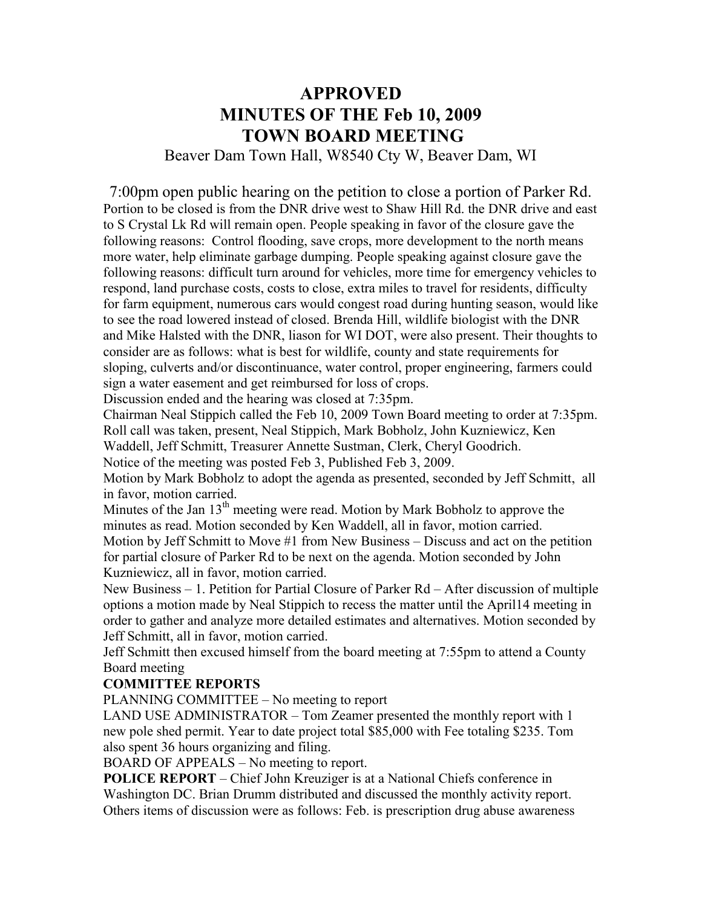# **APPROVED MINUTES OF THE Feb 10, 2009 TOWN BOARD MEETING**

Beaver Dam Town Hall, W8540 Cty W, Beaver Dam, WI

7:00pm open public hearing on the petition to close a portion of Parker Rd. Portion to be closed is from the DNR drive west to Shaw Hill Rd. the DNR drive and east to S Crystal Lk Rd will remain open. People speaking in favor of the closure gave the following reasons: Control flooding, save crops, more development to the north means more water, help eliminate garbage dumping. People speaking against closure gave the following reasons: difficult turn around for vehicles, more time for emergency vehicles to respond, land purchase costs, costs to close, extra miles to travel for residents, difficulty for farm equipment, numerous cars would congest road during hunting season, would like to see the road lowered instead of closed. Brenda Hill, wildlife biologist with the DNR and Mike Halsted with the DNR, liason for WI DOT, were also present. Their thoughts to consider are as follows: what is best for wildlife, county and state requirements for sloping, culverts and/or discontinuance, water control, proper engineering, farmers could sign a water easement and get reimbursed for loss of crops.

Discussion ended and the hearing was closed at 7:35pm.

Chairman Neal Stippich called the Feb 10, 2009 Town Board meeting to order at 7:35pm. Roll call was taken, present, Neal Stippich, Mark Bobholz, John Kuzniewicz, Ken Waddell, Jeff Schmitt, Treasurer Annette Sustman, Clerk, Cheryl Goodrich.

Notice of the meeting was posted Feb 3, Published Feb 3, 2009.

Motion by Mark Bobholz to adopt the agenda as presented, seconded by Jeff Schmitt, all in favor, motion carried.

Minutes of the Jan  $13<sup>th</sup>$  meeting were read. Motion by Mark Bobholz to approve the minutes as read. Motion seconded by Ken Waddell, all in favor, motion carried. Motion by Jeff Schmitt to Move #1 from New Business – Discuss and act on the petition for partial closure of Parker Rd to be next on the agenda. Motion seconded by John Kuzniewicz, all in favor, motion carried.

New Business – 1. Petition for Partial Closure of Parker Rd – After discussion of multiple options a motion made by Neal Stippich to recess the matter until the April14 meeting in order to gather and analyze more detailed estimates and alternatives. Motion seconded by Jeff Schmitt, all in favor, motion carried.

Jeff Schmitt then excused himself from the board meeting at 7:55pm to attend a County Board meeting

### **COMMITTEE REPORTS**

PLANNING COMMITTEE – No meeting to report

LAND USE ADMINISTRATOR – Tom Zeamer presented the monthly report with 1 new pole shed permit. Year to date project total \$85,000 with Fee totaling \$235. Tom also spent 36 hours organizing and filing.

BOARD OF APPEALS – No meeting to report.

**POLICE REPORT** – Chief John Kreuziger is at a National Chiefs conference in Washington DC. Brian Drumm distributed and discussed the monthly activity report. Others items of discussion were as follows: Feb. is prescription drug abuse awareness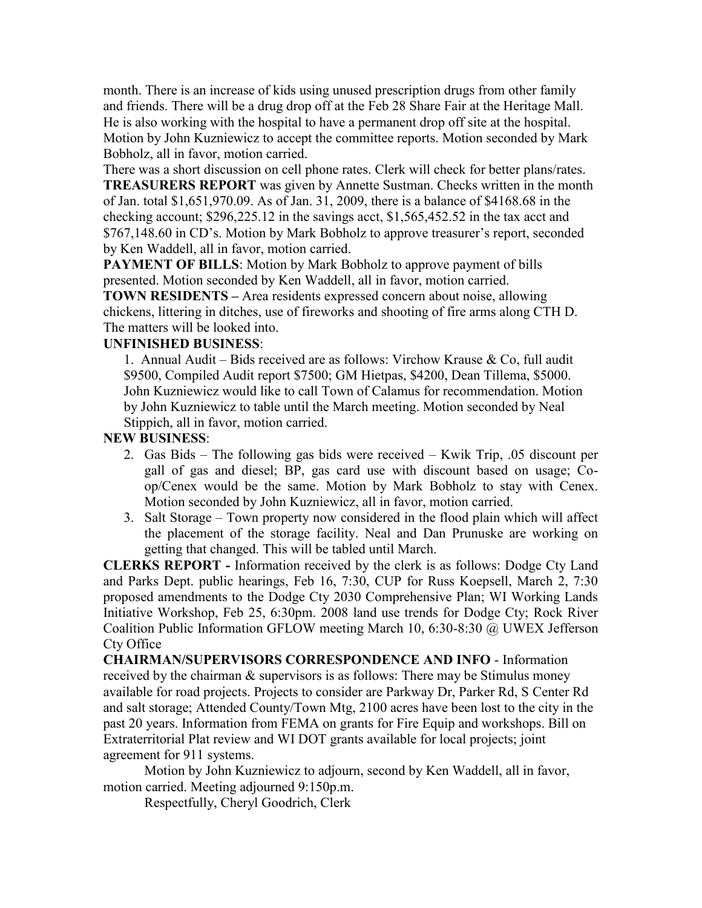month. There is an increase of kids using unused prescription drugs from other family and friends. There will be a drug drop off at the Feb 28 Share Fair at the Heritage Mall. He is also working with the hospital to have a permanent drop off site at the hospital. Motion by John Kuzniewicz to accept the committee reports. Motion seconded by Mark Bobholz, all in favor, motion carried.

There was a short discussion on cell phone rates. Clerk will check for better plans/rates. **TREASURERS REPORT** was given by Annette Sustman. Checks written in the month of Jan. total \$1,651,970.09. As of Jan. 31, 2009, there is a balance of \$4168.68 in the checking account; \$296,225.12 in the savings acct, \$1,565,452.52 in the tax acct and \$767,148.60 in CD's. Motion by Mark Bobholz to approve treasurer's report, seconded by Ken Waddell, all in favor, motion carried.

**PAYMENT OF BILLS**: Motion by Mark Bobholz to approve payment of bills presented. Motion seconded by Ken Waddell, all in favor, motion carried.

**TOWN RESIDENTS –** Area residents expressed concern about noise, allowing chickens, littering in ditches, use of fireworks and shooting of fire arms along CTH D. The matters will be looked into.

#### **UNFINISHED BUSINESS**:

1. Annual Audit – Bids received are as follows: Virchow Krause & Co, full audit \$9500, Compiled Audit report \$7500; GM Hietpas, \$4200, Dean Tillema, \$5000. John Kuzniewicz would like to call Town of Calamus for recommendation. Motion by John Kuzniewicz to table until the March meeting. Motion seconded by Neal Stippich, all in favor, motion carried.

#### **NEW BUSINESS**:

- 2. Gas Bids The following gas bids were received Kwik Trip, .05 discount per gall of gas and diesel; BP, gas card use with discount based on usage; Coop/Cenex would be the same. Motion by Mark Bobholz to stay with Cenex. Motion seconded by John Kuzniewicz, all in favor, motion carried.
- 3. Salt Storage Town property now considered in the flood plain which will affect the placement of the storage facility. Neal and Dan Prunuske are working on getting that changed. This will be tabled until March.

**CLERKS REPORT -** Information received by the clerk is as follows: Dodge Cty Land and Parks Dept. public hearings, Feb 16, 7:30, CUP for Russ Koepsell, March 2, 7:30 proposed amendments to the Dodge Cty 2030 Comprehensive Plan; WI Working Lands Initiative Workshop, Feb 25, 6:30pm. 2008 land use trends for Dodge Cty; Rock River Coalition Public Information GFLOW meeting March 10, 6:30-8:30 @ UWEX Jefferson Cty Office

**CHAIRMAN/SUPERVISORS CORRESPONDENCE AND INFO** - Information received by the chairman & supervisors is as follows: There may be Stimulus money available for road projects. Projects to consider are Parkway Dr, Parker Rd, S Center Rd and salt storage; Attended County/Town Mtg, 2100 acres have been lost to the city in the past 20 years. Information from FEMA on grants for Fire Equip and workshops. Bill on Extraterritorial Plat review and WI DOT grants available for local projects; joint agreement for 911 systems.

Motion by John Kuzniewicz to adjourn, second by Ken Waddell, all in favor, motion carried. Meeting adjourned 9:150p.m.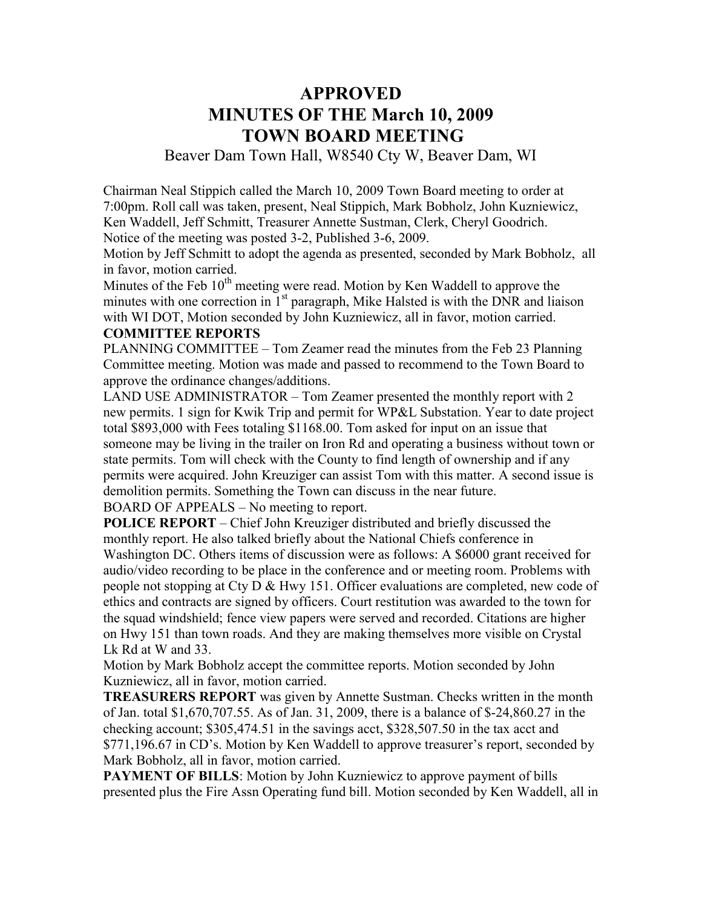## **APPROVED MINUTES OF THE March 10, 2009 TOWN BOARD MEETING**

Beaver Dam Town Hall, W8540 Cty W, Beaver Dam, WI

Chairman Neal Stippich called the March 10, 2009 Town Board meeting to order at 7:00pm. Roll call was taken, present, Neal Stippich, Mark Bobholz, John Kuzniewicz, Ken Waddell, Jeff Schmitt, Treasurer Annette Sustman, Clerk, Cheryl Goodrich. Notice of the meeting was posted 3-2, Published 3-6, 2009.

Motion by Jeff Schmitt to adopt the agenda as presented, seconded by Mark Bobholz, all in favor, motion carried.

Minutes of the Feb  $10<sup>th</sup>$  meeting were read. Motion by Ken Waddell to approve the minutes with one correction in 1<sup>st</sup> paragraph, Mike Halsted is with the DNR and liaison with WI DOT, Motion seconded by John Kuzniewicz, all in favor, motion carried.

#### **COMMITTEE REPORTS**

PLANNING COMMITTEE – Tom Zeamer read the minutes from the Feb 23 Planning Committee meeting. Motion was made and passed to recommend to the Town Board to approve the ordinance changes/additions.

LAND USE ADMINISTRATOR – Tom Zeamer presented the monthly report with 2 new permits. 1 sign for Kwik Trip and permit for WP&L Substation. Year to date project total \$893,000 with Fees totaling \$1168.00. Tom asked for input on an issue that someone may be living in the trailer on Iron Rd and operating a business without town or state permits. Tom will check with the County to find length of ownership and if any permits were acquired. John Kreuziger can assist Tom with this matter. A second issue is demolition permits. Something the Town can discuss in the near future.

BOARD OF APPEALS – No meeting to report.

**POLICE REPORT** – Chief John Kreuziger distributed and briefly discussed the monthly report. He also talked briefly about the National Chiefs conference in Washington DC. Others items of discussion were as follows: A \$6000 grant received for audio/video recording to be place in the conference and or meeting room. Problems with people not stopping at Cty D & Hwy 151. Officer evaluations are completed, new code of ethics and contracts are signed by officers. Court restitution was awarded to the town for the squad windshield; fence view papers were served and recorded. Citations are higher on Hwy 151 than town roads. And they are making themselves more visible on Crystal Lk Rd at W and 33.

Motion by Mark Bobholz accept the committee reports. Motion seconded by John Kuzniewicz, all in favor, motion carried.

**TREASURERS REPORT** was given by Annette Sustman. Checks written in the month of Jan. total \$1,670,707.55. As of Jan. 31, 2009, there is a balance of \$-24,860.27 in the checking account; \$305,474.51 in the savings acct, \$328,507.50 in the tax acct and \$771,196.67 in CD's. Motion by Ken Waddell to approve treasurer's report, seconded by Mark Bobholz, all in favor, motion carried.

**PAYMENT OF BILLS:** Motion by John Kuzniewicz to approve payment of bills presented plus the Fire Assn Operating fund bill. Motion seconded by Ken Waddell, all in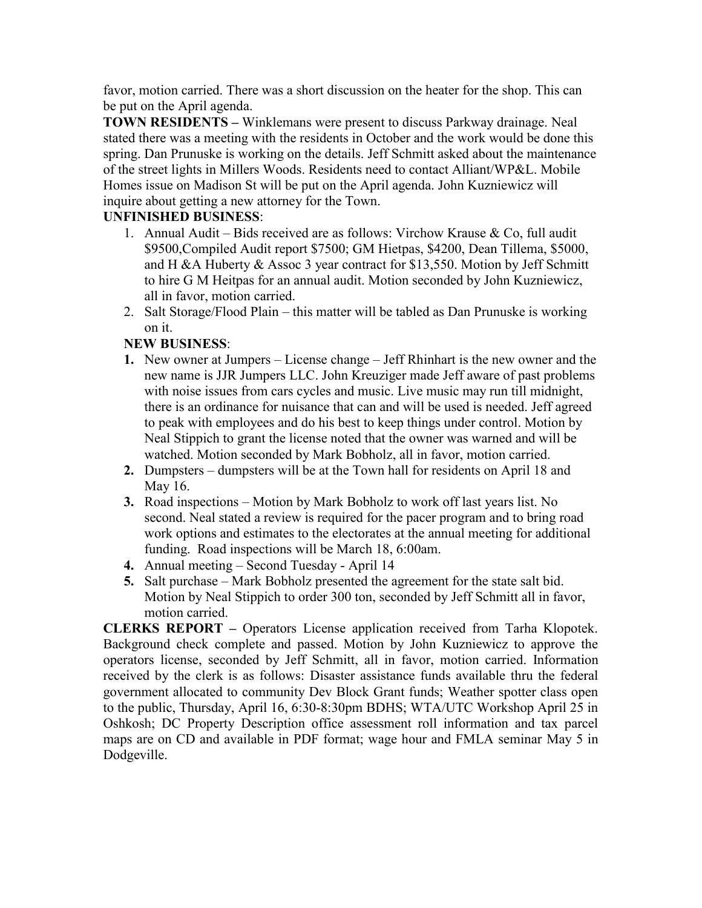favor, motion carried. There was a short discussion on the heater for the shop. This can be put on the April agenda.

**TOWN RESIDENTS –** Winklemans were present to discuss Parkway drainage. Neal stated there was a meeting with the residents in October and the work would be done this spring. Dan Prunuske is working on the details. Jeff Schmitt asked about the maintenance of the street lights in Millers Woods. Residents need to contact Alliant/WP&L. Mobile Homes issue on Madison St will be put on the April agenda. John Kuzniewicz will inquire about getting a new attorney for the Town.

### **UNFINISHED BUSINESS**:

- 1. Annual Audit Bids received are as follows: Virchow Krause  $\&$  Co, full audit \$9500,Compiled Audit report \$7500; GM Hietpas, \$4200, Dean Tillema, \$5000, and H &A Huberty & Assoc 3 year contract for \$13,550. Motion by Jeff Schmitt to hire G M Heitpas for an annual audit. Motion seconded by John Kuzniewicz, all in favor, motion carried.
- 2. Salt Storage/Flood Plain this matter will be tabled as Dan Prunuske is working on it.

### **NEW BUSINESS**:

- **1.** New owner at Jumpers License change Jeff Rhinhart is the new owner and the new name is JJR Jumpers LLC. John Kreuziger made Jeff aware of past problems with noise issues from cars cycles and music. Live music may run till midnight, there is an ordinance for nuisance that can and will be used is needed. Jeff agreed to peak with employees and do his best to keep things under control. Motion by Neal Stippich to grant the license noted that the owner was warned and will be watched. Motion seconded by Mark Bobholz, all in favor, motion carried.
- **2.** Dumpsters dumpsters will be at the Town hall for residents on April 18 and May 16.
- **3.** Road inspections Motion by Mark Bobholz to work off last years list. No second. Neal stated a review is required for the pacer program and to bring road work options and estimates to the electorates at the annual meeting for additional funding. Road inspections will be March 18, 6:00am.
- **4.** Annual meeting Second Tuesday April 14
- **5.** Salt purchase Mark Bobholz presented the agreement for the state salt bid. Motion by Neal Stippich to order 300 ton, seconded by Jeff Schmitt all in favor, motion carried.

**CLERKS REPORT –** Operators License application received from Tarha Klopotek. Background check complete and passed. Motion by John Kuzniewicz to approve the operators license, seconded by Jeff Schmitt, all in favor, motion carried. Information received by the clerk is as follows: Disaster assistance funds available thru the federal government allocated to community Dev Block Grant funds; Weather spotter class open to the public, Thursday, April 16, 6:30-8:30pm BDHS; WTA/UTC Workshop April 25 in Oshkosh; DC Property Description office assessment roll information and tax parcel maps are on CD and available in PDF format; wage hour and FMLA seminar May 5 in Dodgeville.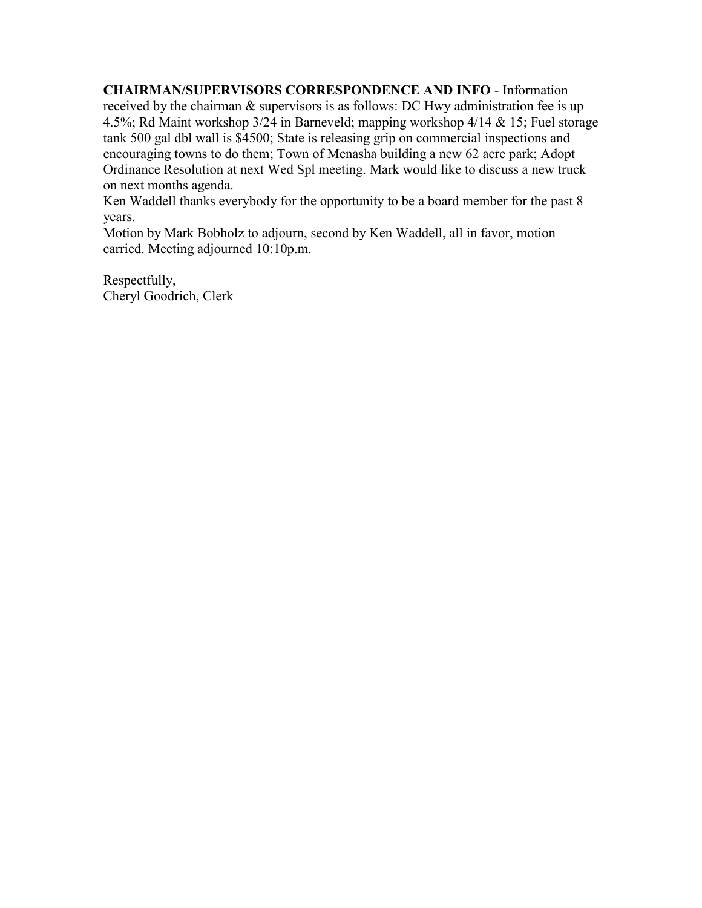**CHAIRMAN/SUPERVISORS CORRESPONDENCE AND INFO** - Information received by the chairman & supervisors is as follows: DC Hwy administration fee is up 4.5%; Rd Maint workshop 3/24 in Barneveld; mapping workshop 4/14 & 15; Fuel storage tank 500 gal dbl wall is \$4500; State is releasing grip on commercial inspections and encouraging towns to do them; Town of Menasha building a new 62 acre park; Adopt Ordinance Resolution at next Wed Spl meeting. Mark would like to discuss a new truck on next months agenda.

Ken Waddell thanks everybody for the opportunity to be a board member for the past 8 years.

Motion by Mark Bobholz to adjourn, second by Ken Waddell, all in favor, motion carried. Meeting adjourned 10:10p.m.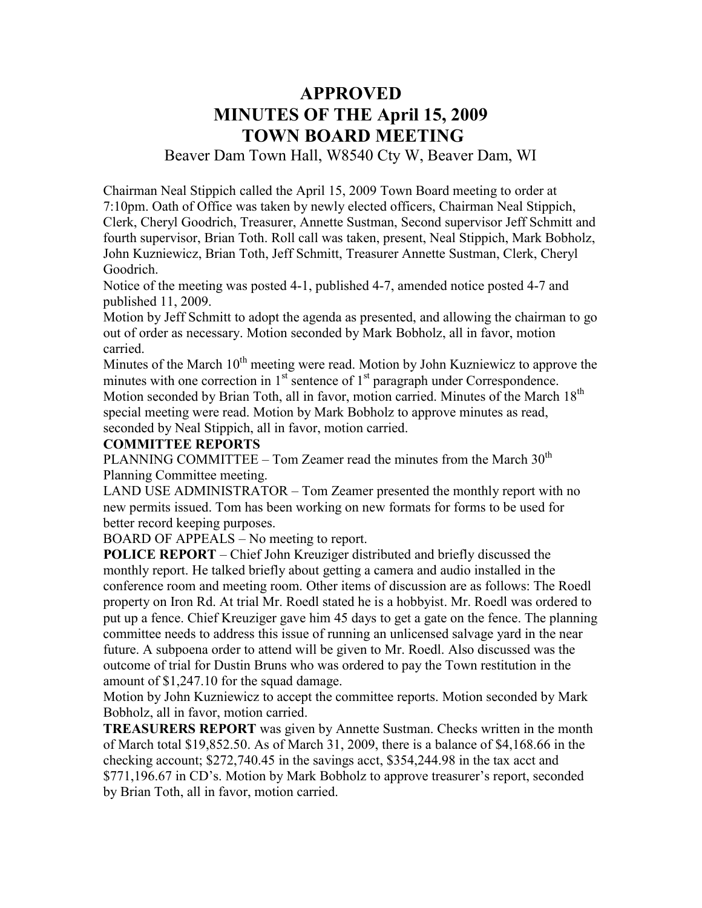# **APPROVED MINUTES OF THE April 15, 2009 TOWN BOARD MEETING**

Beaver Dam Town Hall, W8540 Cty W, Beaver Dam, WI

Chairman Neal Stippich called the April 15, 2009 Town Board meeting to order at 7:10pm. Oath of Office was taken by newly elected officers, Chairman Neal Stippich, Clerk, Cheryl Goodrich, Treasurer, Annette Sustman, Second supervisor Jeff Schmitt and fourth supervisor, Brian Toth. Roll call was taken, present, Neal Stippich, Mark Bobholz, John Kuzniewicz, Brian Toth, Jeff Schmitt, Treasurer Annette Sustman, Clerk, Cheryl Goodrich.

Notice of the meeting was posted 4-1, published 4-7, amended notice posted 4-7 and published 11, 2009.

Motion by Jeff Schmitt to adopt the agenda as presented, and allowing the chairman to go out of order as necessary. Motion seconded by Mark Bobholz, all in favor, motion carried.

Minutes of the March  $10<sup>th</sup>$  meeting were read. Motion by John Kuzniewicz to approve the minutes with one correction in  $1<sup>st</sup>$  sentence of  $1<sup>st</sup>$  paragraph under Correspondence. Motion seconded by Brian Toth, all in favor, motion carried. Minutes of the March 18<sup>th</sup> special meeting were read. Motion by Mark Bobholz to approve minutes as read, seconded by Neal Stippich, all in favor, motion carried.

#### **COMMITTEE REPORTS**

PLANNING COMMITTEE – Tom Zeamer read the minutes from the March  $30<sup>th</sup>$ Planning Committee meeting.

LAND USE ADMINISTRATOR – Tom Zeamer presented the monthly report with no new permits issued. Tom has been working on new formats for forms to be used for better record keeping purposes.

BOARD OF APPEALS – No meeting to report.

**POLICE REPORT** – Chief John Kreuziger distributed and briefly discussed the monthly report. He talked briefly about getting a camera and audio installed in the conference room and meeting room. Other items of discussion are as follows: The Roedl property on Iron Rd. At trial Mr. Roedl stated he is a hobbyist. Mr. Roedl was ordered to put up a fence. Chief Kreuziger gave him 45 days to get a gate on the fence. The planning committee needs to address this issue of running an unlicensed salvage yard in the near future. A subpoena order to attend will be given to Mr. Roedl. Also discussed was the outcome of trial for Dustin Bruns who was ordered to pay the Town restitution in the amount of \$1,247.10 for the squad damage.

Motion by John Kuzniewicz to accept the committee reports. Motion seconded by Mark Bobholz, all in favor, motion carried.

**TREASURERS REPORT** was given by Annette Sustman. Checks written in the month of March total \$19,852.50. As of March 31, 2009, there is a balance of \$4,168.66 in the checking account; \$272,740.45 in the savings acct, \$354,244.98 in the tax acct and \$771,196.67 in CD's. Motion by Mark Bobholz to approve treasurer's report, seconded by Brian Toth, all in favor, motion carried.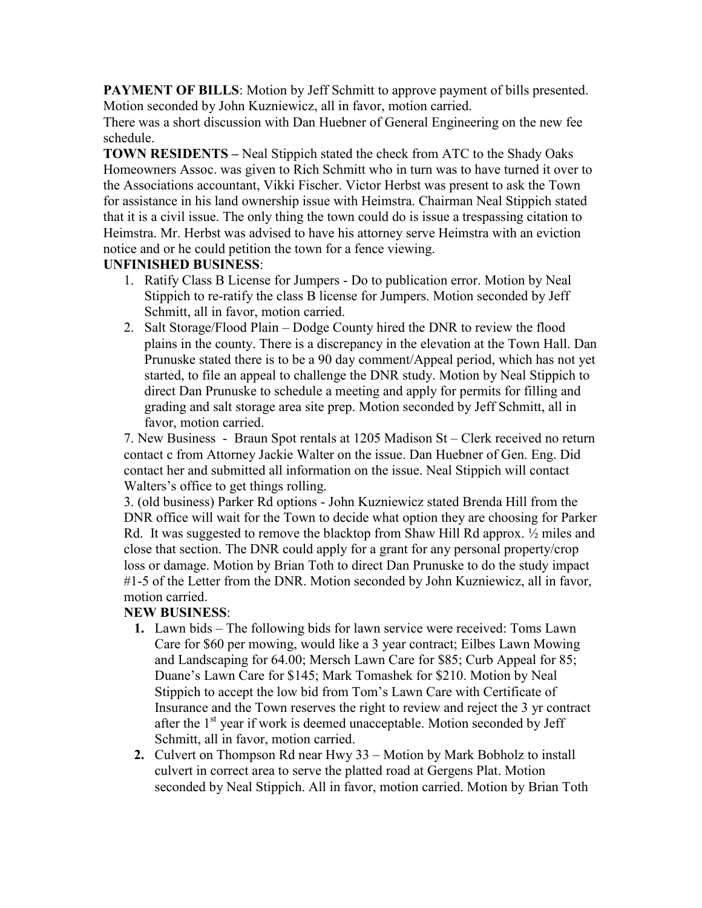**PAYMENT OF BILLS:** Motion by Jeff Schmitt to approve payment of bills presented. Motion seconded by John Kuzniewicz, all in favor, motion carried.

There was a short discussion with Dan Huebner of General Engineering on the new fee schedule.

**TOWN RESIDENTS –** Neal Stippich stated the check from ATC to the Shady Oaks Homeowners Assoc. was given to Rich Schmitt who in turn was to have turned it over to the Associations accountant, Vikki Fischer. Victor Herbst was present to ask the Town for assistance in his land ownership issue with Heimstra. Chairman Neal Stippich stated that it is a civil issue. The only thing the town could do is issue a trespassing citation to Heimstra. Mr. Herbst was advised to have his attorney serve Heimstra with an eviction notice and or he could petition the town for a fence viewing.

## **UNFINISHED BUSINESS**:

- 1. Ratify Class B License for Jumpers Do to publication error. Motion by Neal Stippich to re-ratify the class B license for Jumpers. Motion seconded by Jeff Schmitt, all in favor, motion carried.
- 2. Salt Storage/Flood Plain Dodge County hired the DNR to review the flood plains in the county. There is a discrepancy in the elevation at the Town Hall. Dan Prunuske stated there is to be a 90 day comment/Appeal period, which has not yet started, to file an appeal to challenge the DNR study. Motion by Neal Stippich to direct Dan Prunuske to schedule a meeting and apply for permits for filling and grading and salt storage area site prep. Motion seconded by Jeff Schmitt, all in favor, motion carried.

7. New Business - Braun Spot rentals at 1205 Madison St – Clerk received no return contact c from Attorney Jackie Walter on the issue. Dan Huebner of Gen. Eng. Did contact her and submitted all information on the issue. Neal Stippich will contact Walters's office to get things rolling.

3. (old business) Parker Rd options - John Kuzniewicz stated Brenda Hill from the DNR office will wait for the Town to decide what option they are choosing for Parker Rd. It was suggested to remove the blacktop from Shaw Hill Rd approx.  $\frac{1}{2}$  miles and close that section. The DNR could apply for a grant for any personal property/crop loss or damage. Motion by Brian Toth to direct Dan Prunuske to do the study impact #1-5 of the Letter from the DNR. Motion seconded by John Kuzniewicz, all in favor, motion carried.

## **NEW BUSINESS**:

- **1.** Lawn bids The following bids for lawn service were received: Toms Lawn Care for \$60 per mowing, would like a 3 year contract; Eilbes Lawn Mowing and Landscaping for 64.00; Mersch Lawn Care for \$85; Curb Appeal for 85; Duane's Lawn Care for \$145; Mark Tomashek for \$210. Motion by Neal Stippich to accept the low bid from Tom's Lawn Care with Certificate of Insurance and the Town reserves the right to review and reject the 3 yr contract after the 1<sup>st</sup> year if work is deemed unacceptable. Motion seconded by Jeff Schmitt, all in favor, motion carried.
- **2.** Culvert on Thompson Rd near Hwy 33 Motion by Mark Bobholz to install culvert in correct area to serve the platted road at Gergens Plat. Motion seconded by Neal Stippich. All in favor, motion carried. Motion by Brian Toth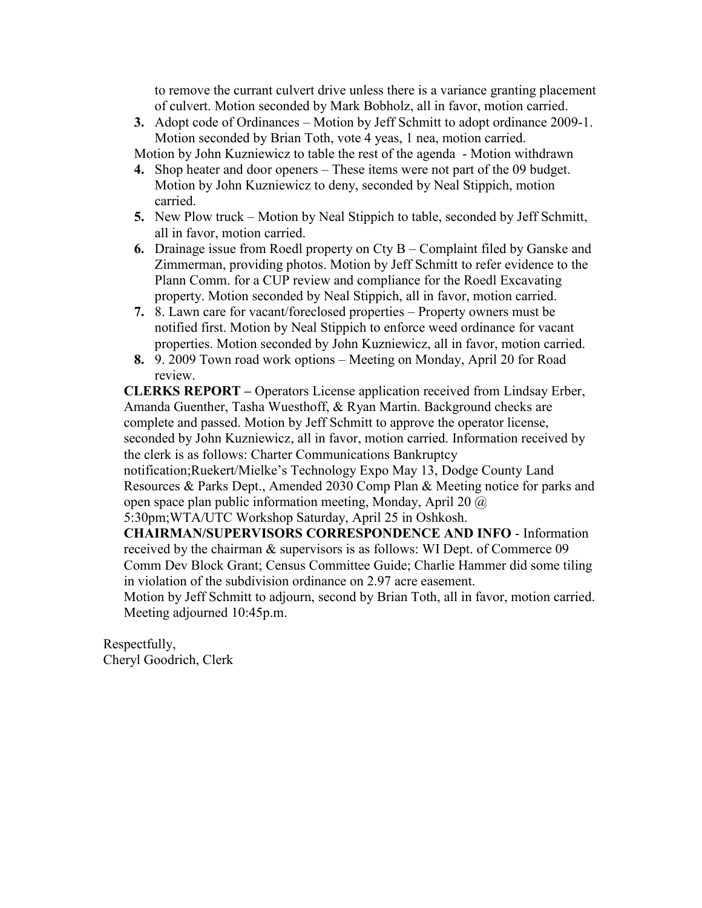to remove the currant culvert drive unless there is a variance granting placement of culvert. Motion seconded by Mark Bobholz, all in favor, motion carried.

**3.** Adopt code of Ordinances – Motion by Jeff Schmitt to adopt ordinance 2009-1. Motion seconded by Brian Toth, vote 4 yeas, 1 nea, motion carried.

Motion by John Kuzniewicz to table the rest of the agenda - Motion withdrawn

- **4.** Shop heater and door openers These items were not part of the 09 budget. Motion by John Kuzniewicz to deny, seconded by Neal Stippich, motion carried.
- **5.** New Plow truck Motion by Neal Stippich to table, seconded by Jeff Schmitt, all in favor, motion carried.
- **6.** Drainage issue from Roedl property on Cty B Complaint filed by Ganske and Zimmerman, providing photos. Motion by Jeff Schmitt to refer evidence to the Plann Comm. for a CUP review and compliance for the Roedl Excavating property. Motion seconded by Neal Stippich, all in favor, motion carried.
- **7.** 8. Lawn care for vacant/foreclosed properties Property owners must be notified first. Motion by Neal Stippich to enforce weed ordinance for vacant properties. Motion seconded by John Kuzniewicz, all in favor, motion carried.
- **8.** 9. 2009 Town road work options Meeting on Monday, April 20 for Road review.

**CLERKS REPORT –** Operators License application received from Lindsay Erber, Amanda Guenther, Tasha Wuesthoff, & Ryan Martin. Background checks are complete and passed. Motion by Jeff Schmitt to approve the operator license, seconded by John Kuzniewicz, all in favor, motion carried. Information received by the clerk is as follows: Charter Communications Bankruptcy notification;Ruekert/Mielke's Technology Expo May 13, Dodge County Land Resources & Parks Dept., Amended 2030 Comp Plan & Meeting notice for parks and

open space plan public information meeting, Monday, April 20 @ 5:30pm;WTA/UTC Workshop Saturday, April 25 in Oshkosh.

**CHAIRMAN/SUPERVISORS CORRESPONDENCE AND INFO** - Information received by the chairman & supervisors is as follows: WI Dept. of Commerce 09 Comm Dev Block Grant; Census Committee Guide; Charlie Hammer did some tiling in violation of the subdivision ordinance on 2.97 acre easement.

Motion by Jeff Schmitt to adjourn, second by Brian Toth, all in favor, motion carried. Meeting adjourned 10:45p.m.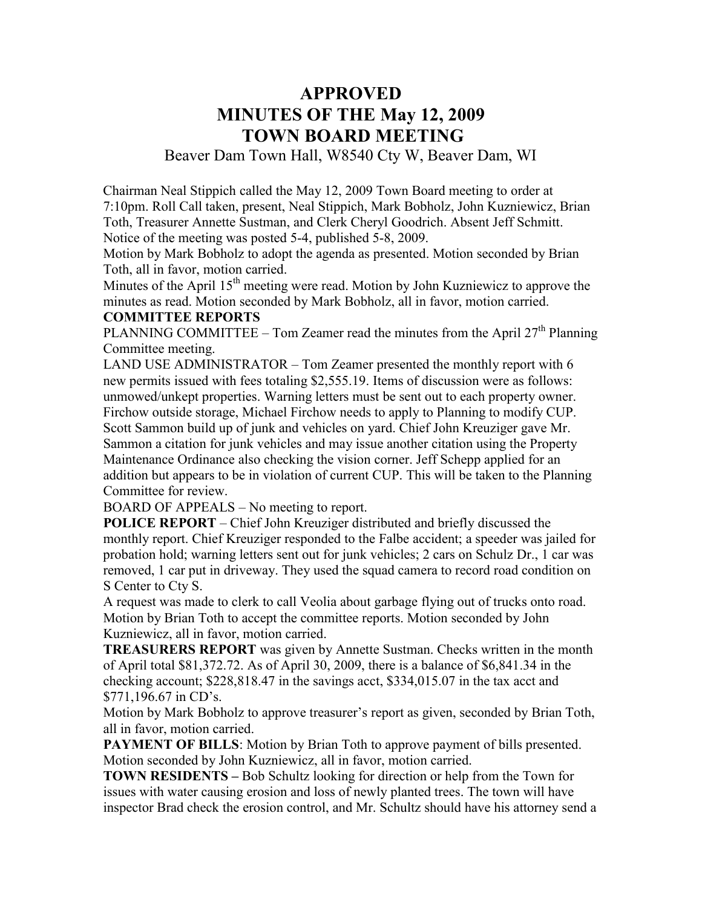# **APPROVED MINUTES OF THE May 12, 2009 TOWN BOARD MEETING**

Beaver Dam Town Hall, W8540 Cty W, Beaver Dam, WI

Chairman Neal Stippich called the May 12, 2009 Town Board meeting to order at 7:10pm. Roll Call taken, present, Neal Stippich, Mark Bobholz, John Kuzniewicz, Brian Toth, Treasurer Annette Sustman, and Clerk Cheryl Goodrich. Absent Jeff Schmitt. Notice of the meeting was posted 5-4, published 5-8, 2009.

Motion by Mark Bobholz to adopt the agenda as presented. Motion seconded by Brian Toth, all in favor, motion carried.

Minutes of the April  $15<sup>th</sup>$  meeting were read. Motion by John Kuzniewicz to approve the minutes as read. Motion seconded by Mark Bobholz, all in favor, motion carried.

### **COMMITTEE REPORTS**

PLANNING COMMITTEE – Tom Zeamer read the minutes from the April  $27<sup>th</sup>$  Planning Committee meeting.

LAND USE ADMINISTRATOR – Tom Zeamer presented the monthly report with 6 new permits issued with fees totaling \$2,555.19. Items of discussion were as follows: unmowed/unkept properties. Warning letters must be sent out to each property owner. Firchow outside storage, Michael Firchow needs to apply to Planning to modify CUP. Scott Sammon build up of junk and vehicles on yard. Chief John Kreuziger gave Mr. Sammon a citation for junk vehicles and may issue another citation using the Property Maintenance Ordinance also checking the vision corner. Jeff Schepp applied for an addition but appears to be in violation of current CUP. This will be taken to the Planning Committee for review.

BOARD OF APPEALS – No meeting to report.

**POLICE REPORT** – Chief John Kreuziger distributed and briefly discussed the monthly report. Chief Kreuziger responded to the Falbe accident; a speeder was jailed for probation hold; warning letters sent out for junk vehicles; 2 cars on Schulz Dr., 1 car was removed, 1 car put in driveway. They used the squad camera to record road condition on S Center to Cty S.

A request was made to clerk to call Veolia about garbage flying out of trucks onto road. Motion by Brian Toth to accept the committee reports. Motion seconded by John Kuzniewicz, all in favor, motion carried.

**TREASURERS REPORT** was given by Annette Sustman. Checks written in the month of April total \$81,372.72. As of April 30, 2009, there is a balance of \$6,841.34 in the checking account; \$228,818.47 in the savings acct, \$334,015.07 in the tax acct and \$771,196.67 in CD's.

Motion by Mark Bobholz to approve treasurer's report as given, seconded by Brian Toth, all in favor, motion carried.

**PAYMENT OF BILLS:** Motion by Brian Toth to approve payment of bills presented. Motion seconded by John Kuzniewicz, all in favor, motion carried.

**TOWN RESIDENTS –** Bob Schultz looking for direction or help from the Town for issues with water causing erosion and loss of newly planted trees. The town will have inspector Brad check the erosion control, and Mr. Schultz should have his attorney send a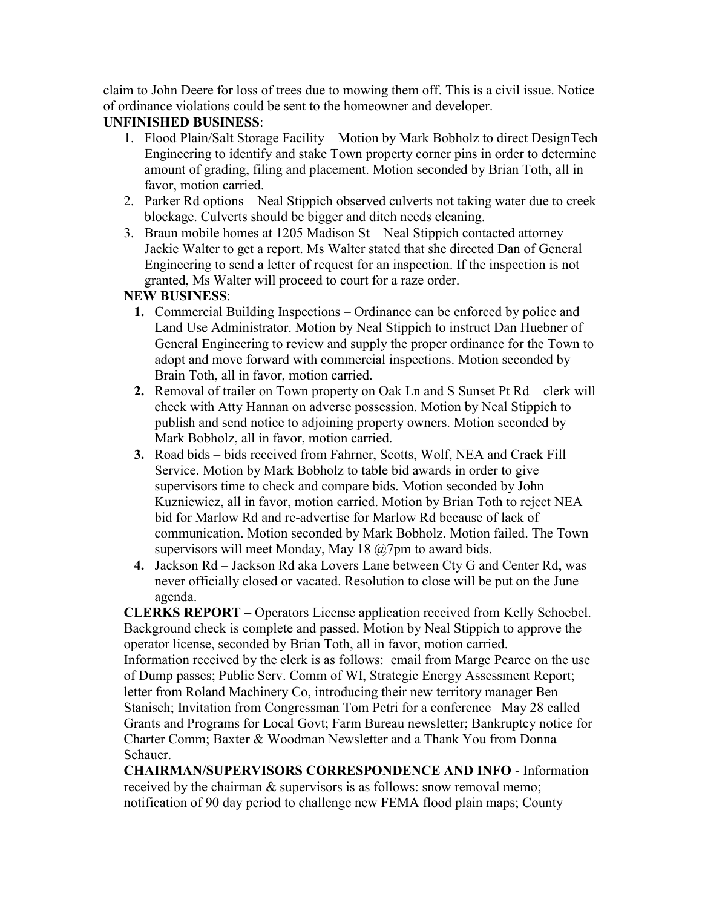claim to John Deere for loss of trees due to mowing them off. This is a civil issue. Notice of ordinance violations could be sent to the homeowner and developer.

## **UNFINISHED BUSINESS**:

- 1. Flood Plain/Salt Storage Facility Motion by Mark Bobholz to direct DesignTech Engineering to identify and stake Town property corner pins in order to determine amount of grading, filing and placement. Motion seconded by Brian Toth, all in favor, motion carried.
- 2. Parker Rd options Neal Stippich observed culverts not taking water due to creek blockage. Culverts should be bigger and ditch needs cleaning.
- 3. Braun mobile homes at 1205 Madison St Neal Stippich contacted attorney Jackie Walter to get a report. Ms Walter stated that she directed Dan of General Engineering to send a letter of request for an inspection. If the inspection is not granted, Ms Walter will proceed to court for a raze order.

## **NEW BUSINESS**:

- **1.** Commercial Building Inspections Ordinance can be enforced by police and Land Use Administrator. Motion by Neal Stippich to instruct Dan Huebner of General Engineering to review and supply the proper ordinance for the Town to adopt and move forward with commercial inspections. Motion seconded by Brain Toth, all in favor, motion carried.
- **2.** Removal of trailer on Town property on Oak Ln and S Sunset Pt Rd clerk will check with Atty Hannan on adverse possession. Motion by Neal Stippich to publish and send notice to adjoining property owners. Motion seconded by Mark Bobholz, all in favor, motion carried.
- **3.** Road bids bids received from Fahrner, Scotts, Wolf, NEA and Crack Fill Service. Motion by Mark Bobholz to table bid awards in order to give supervisors time to check and compare bids. Motion seconded by John Kuzniewicz, all in favor, motion carried. Motion by Brian Toth to reject NEA bid for Marlow Rd and re-advertise for Marlow Rd because of lack of communication. Motion seconded by Mark Bobholz. Motion failed. The Town supervisors will meet Monday, May 18 @7pm to award bids.
- **4.** Jackson Rd Jackson Rd aka Lovers Lane between Cty G and Center Rd, was never officially closed or vacated. Resolution to close will be put on the June agenda.

**CLERKS REPORT –** Operators License application received from Kelly Schoebel. Background check is complete and passed. Motion by Neal Stippich to approve the operator license, seconded by Brian Toth, all in favor, motion carried. Information received by the clerk is as follows: email from Marge Pearce on the use of Dump passes; Public Serv. Comm of WI, Strategic Energy Assessment Report; letter from Roland Machinery Co, introducing their new territory manager Ben Stanisch; Invitation from Congressman Tom Petri for a conference May 28 called Grants and Programs for Local Govt; Farm Bureau newsletter; Bankruptcy notice for Charter Comm; Baxter & Woodman Newsletter and a Thank You from Donna Schauer.

**CHAIRMAN/SUPERVISORS CORRESPONDENCE AND INFO** - Information received by the chairman & supervisors is as follows: snow removal memo; notification of 90 day period to challenge new FEMA flood plain maps; County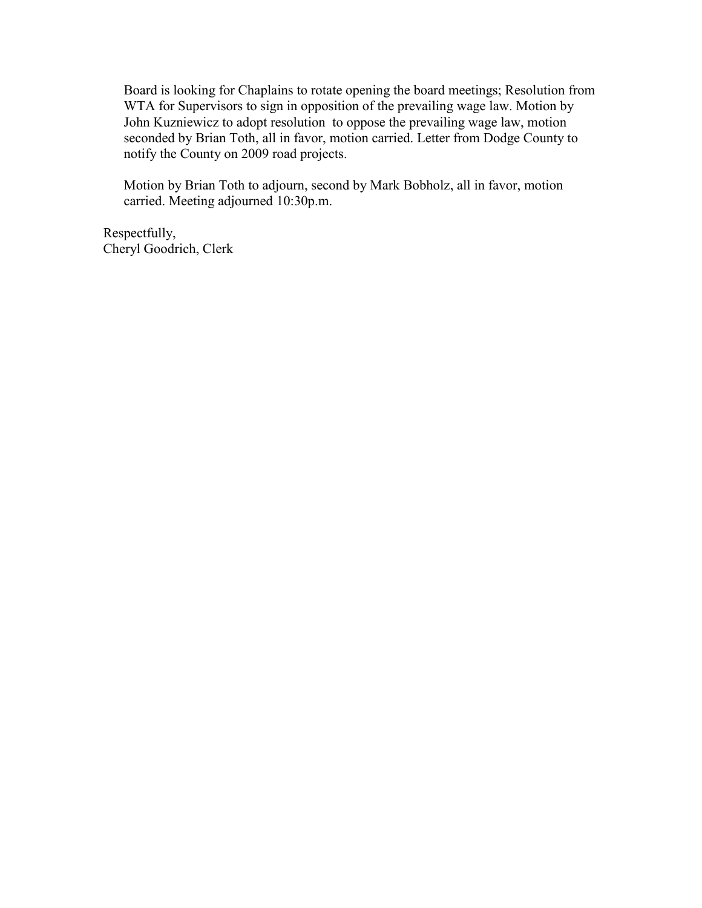Board is looking for Chaplains to rotate opening the board meetings; Resolution from WTA for Supervisors to sign in opposition of the prevailing wage law. Motion by John Kuzniewicz to adopt resolution to oppose the prevailing wage law, motion seconded by Brian Toth, all in favor, motion carried. Letter from Dodge County to notify the County on 2009 road projects.

Motion by Brian Toth to adjourn, second by Mark Bobholz, all in favor, motion carried. Meeting adjourned 10:30p.m.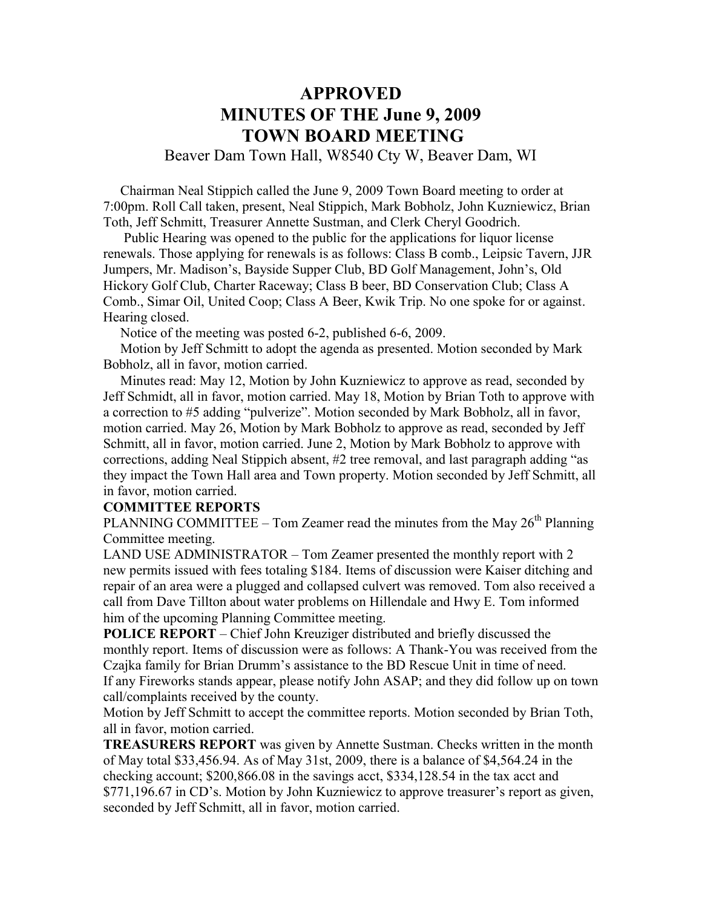# **APPROVED MINUTES OF THE June 9, 2009 TOWN BOARD MEETING**

Beaver Dam Town Hall, W8540 Cty W, Beaver Dam, WI

 Chairman Neal Stippich called the June 9, 2009 Town Board meeting to order at 7:00pm. Roll Call taken, present, Neal Stippich, Mark Bobholz, John Kuzniewicz, Brian Toth, Jeff Schmitt, Treasurer Annette Sustman, and Clerk Cheryl Goodrich.

 Public Hearing was opened to the public for the applications for liquor license renewals. Those applying for renewals is as follows: Class B comb., Leipsic Tavern, JJR Jumpers, Mr. Madison's, Bayside Supper Club, BD Golf Management, John's, Old Hickory Golf Club, Charter Raceway; Class B beer, BD Conservation Club; Class A Comb., Simar Oil, United Coop; Class A Beer, Kwik Trip. No one spoke for or against. Hearing closed.

Notice of the meeting was posted 6-2, published 6-6, 2009.

 Motion by Jeff Schmitt to adopt the agenda as presented. Motion seconded by Mark Bobholz, all in favor, motion carried.

 Minutes read: May 12, Motion by John Kuzniewicz to approve as read, seconded by Jeff Schmidt, all in favor, motion carried. May 18, Motion by Brian Toth to approve with a correction to #5 adding "pulverize". Motion seconded by Mark Bobholz, all in favor, motion carried. May 26, Motion by Mark Bobholz to approve as read, seconded by Jeff Schmitt, all in favor, motion carried. June 2, Motion by Mark Bobholz to approve with corrections, adding Neal Stippich absent, #2 tree removal, and last paragraph adding "as they impact the Town Hall area and Town property. Motion seconded by Jeff Schmitt, all in favor, motion carried.

#### **COMMITTEE REPORTS**

PLANNING COMMITTEE – Tom Zeamer read the minutes from the May  $26<sup>th</sup>$  Planning Committee meeting.

LAND USE ADMINISTRATOR – Tom Zeamer presented the monthly report with 2 new permits issued with fees totaling \$184. Items of discussion were Kaiser ditching and repair of an area were a plugged and collapsed culvert was removed. Tom also received a call from Dave Tillton about water problems on Hillendale and Hwy E. Tom informed him of the upcoming Planning Committee meeting.

**POLICE REPORT** – Chief John Kreuziger distributed and briefly discussed the monthly report. Items of discussion were as follows: A Thank-You was received from the Czajka family for Brian Drumm's assistance to the BD Rescue Unit in time of need. If any Fireworks stands appear, please notify John ASAP; and they did follow up on town call/complaints received by the county.

Motion by Jeff Schmitt to accept the committee reports. Motion seconded by Brian Toth, all in favor, motion carried.

**TREASURERS REPORT** was given by Annette Sustman. Checks written in the month of May total \$33,456.94. As of May 31st, 2009, there is a balance of \$4,564.24 in the checking account; \$200,866.08 in the savings acct, \$334,128.54 in the tax acct and \$771,196.67 in CD's. Motion by John Kuzniewicz to approve treasurer's report as given, seconded by Jeff Schmitt, all in favor, motion carried.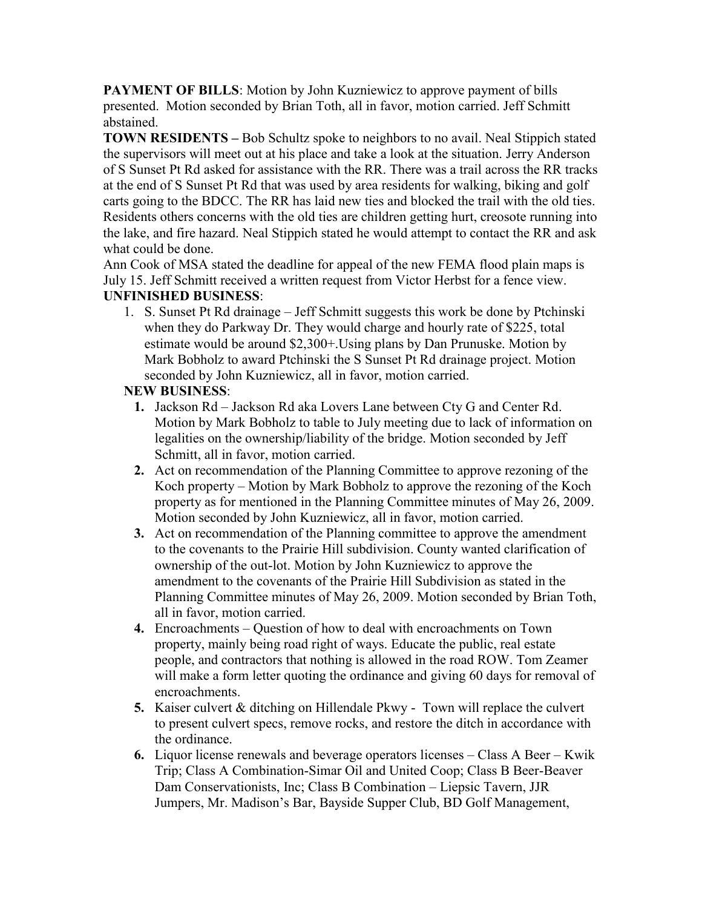**PAYMENT OF BILLS:** Motion by John Kuzniewicz to approve payment of bills presented. Motion seconded by Brian Toth, all in favor, motion carried. Jeff Schmitt abstained.

**TOWN RESIDENTS –** Bob Schultz spoke to neighbors to no avail. Neal Stippich stated the supervisors will meet out at his place and take a look at the situation. Jerry Anderson of S Sunset Pt Rd asked for assistance with the RR. There was a trail across the RR tracks at the end of S Sunset Pt Rd that was used by area residents for walking, biking and golf carts going to the BDCC. The RR has laid new ties and blocked the trail with the old ties. Residents others concerns with the old ties are children getting hurt, creosote running into the lake, and fire hazard. Neal Stippich stated he would attempt to contact the RR and ask what could be done.

Ann Cook of MSA stated the deadline for appeal of the new FEMA flood plain maps is July 15. Jeff Schmitt received a written request from Victor Herbst for a fence view. **UNFINISHED BUSINESS**:

1. S. Sunset Pt Rd drainage – Jeff Schmitt suggests this work be done by Ptchinski when they do Parkway Dr. They would charge and hourly rate of \$225, total estimate would be around \$2,300+.Using plans by Dan Prunuske. Motion by Mark Bobholz to award Ptchinski the S Sunset Pt Rd drainage project. Motion seconded by John Kuzniewicz, all in favor, motion carried.

### **NEW BUSINESS**:

- **1.** Jackson Rd Jackson Rd aka Lovers Lane between Cty G and Center Rd. Motion by Mark Bobholz to table to July meeting due to lack of information on legalities on the ownership/liability of the bridge. Motion seconded by Jeff Schmitt, all in favor, motion carried.
- **2.** Act on recommendation of the Planning Committee to approve rezoning of the Koch property – Motion by Mark Bobholz to approve the rezoning of the Koch property as for mentioned in the Planning Committee minutes of May 26, 2009. Motion seconded by John Kuzniewicz, all in favor, motion carried.
- **3.** Act on recommendation of the Planning committee to approve the amendment to the covenants to the Prairie Hill subdivision. County wanted clarification of ownership of the out-lot. Motion by John Kuzniewicz to approve the amendment to the covenants of the Prairie Hill Subdivision as stated in the Planning Committee minutes of May 26, 2009. Motion seconded by Brian Toth, all in favor, motion carried.
- **4.** Encroachments Question of how to deal with encroachments on Town property, mainly being road right of ways. Educate the public, real estate people, and contractors that nothing is allowed in the road ROW. Tom Zeamer will make a form letter quoting the ordinance and giving 60 days for removal of encroachments.
- **5.** Kaiser culvert & ditching on Hillendale Pkwy Town will replace the culvert to present culvert specs, remove rocks, and restore the ditch in accordance with the ordinance.
- **6.** Liquor license renewals and beverage operators licenses Class A Beer Kwik Trip; Class A Combination-Simar Oil and United Coop; Class B Beer-Beaver Dam Conservationists, Inc; Class B Combination – Liepsic Tavern, JJR Jumpers, Mr. Madison's Bar, Bayside Supper Club, BD Golf Management,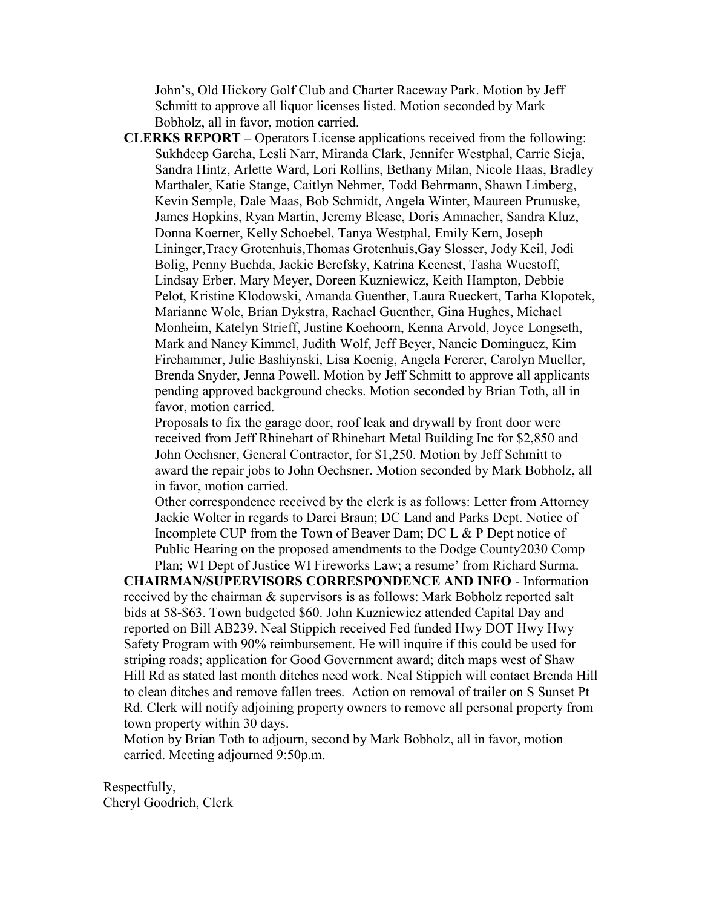John's, Old Hickory Golf Club and Charter Raceway Park. Motion by Jeff Schmitt to approve all liquor licenses listed. Motion seconded by Mark Bobholz, all in favor, motion carried.

**CLERKS REPORT –** Operators License applications received from the following: Sukhdeep Garcha, Lesli Narr, Miranda Clark, Jennifer Westphal, Carrie Sieja, Sandra Hintz, Arlette Ward, Lori Rollins, Bethany Milan, Nicole Haas, Bradley Marthaler, Katie Stange, Caitlyn Nehmer, Todd Behrmann, Shawn Limberg, Kevin Semple, Dale Maas, Bob Schmidt, Angela Winter, Maureen Prunuske, James Hopkins, Ryan Martin, Jeremy Blease, Doris Amnacher, Sandra Kluz, Donna Koerner, Kelly Schoebel, Tanya Westphal, Emily Kern, Joseph Lininger,Tracy Grotenhuis,Thomas Grotenhuis,Gay Slosser, Jody Keil, Jodi Bolig, Penny Buchda, Jackie Berefsky, Katrina Keenest, Tasha Wuestoff, Lindsay Erber, Mary Meyer, Doreen Kuzniewicz, Keith Hampton, Debbie Pelot, Kristine Klodowski, Amanda Guenther, Laura Rueckert, Tarha Klopotek, Marianne Wolc, Brian Dykstra, Rachael Guenther, Gina Hughes, Michael Monheim, Katelyn Strieff, Justine Koehoorn, Kenna Arvold, Joyce Longseth, Mark and Nancy Kimmel, Judith Wolf, Jeff Beyer, Nancie Dominguez, Kim Firehammer, Julie Bashiynski, Lisa Koenig, Angela Fererer, Carolyn Mueller, Brenda Snyder, Jenna Powell. Motion by Jeff Schmitt to approve all applicants pending approved background checks. Motion seconded by Brian Toth, all in favor, motion carried.

Proposals to fix the garage door, roof leak and drywall by front door were received from Jeff Rhinehart of Rhinehart Metal Building Inc for \$2,850 and John Oechsner, General Contractor, for \$1,250. Motion by Jeff Schmitt to award the repair jobs to John Oechsner. Motion seconded by Mark Bobholz, all in favor, motion carried.

Other correspondence received by the clerk is as follows: Letter from Attorney Jackie Wolter in regards to Darci Braun; DC Land and Parks Dept. Notice of Incomplete CUP from the Town of Beaver Dam; DC L & P Dept notice of Public Hearing on the proposed amendments to the Dodge County2030 Comp Plan; WI Dept of Justice WI Fireworks Law; a resume' from Richard Surma.

**CHAIRMAN/SUPERVISORS CORRESPONDENCE AND INFO** - Information received by the chairman & supervisors is as follows: Mark Bobholz reported salt bids at 58-\$63. Town budgeted \$60. John Kuzniewicz attended Capital Day and reported on Bill AB239. Neal Stippich received Fed funded Hwy DOT Hwy Hwy Safety Program with 90% reimbursement. He will inquire if this could be used for striping roads; application for Good Government award; ditch maps west of Shaw Hill Rd as stated last month ditches need work. Neal Stippich will contact Brenda Hill to clean ditches and remove fallen trees. Action on removal of trailer on S Sunset Pt Rd. Clerk will notify adjoining property owners to remove all personal property from town property within 30 days.

Motion by Brian Toth to adjourn, second by Mark Bobholz, all in favor, motion carried. Meeting adjourned 9:50p.m.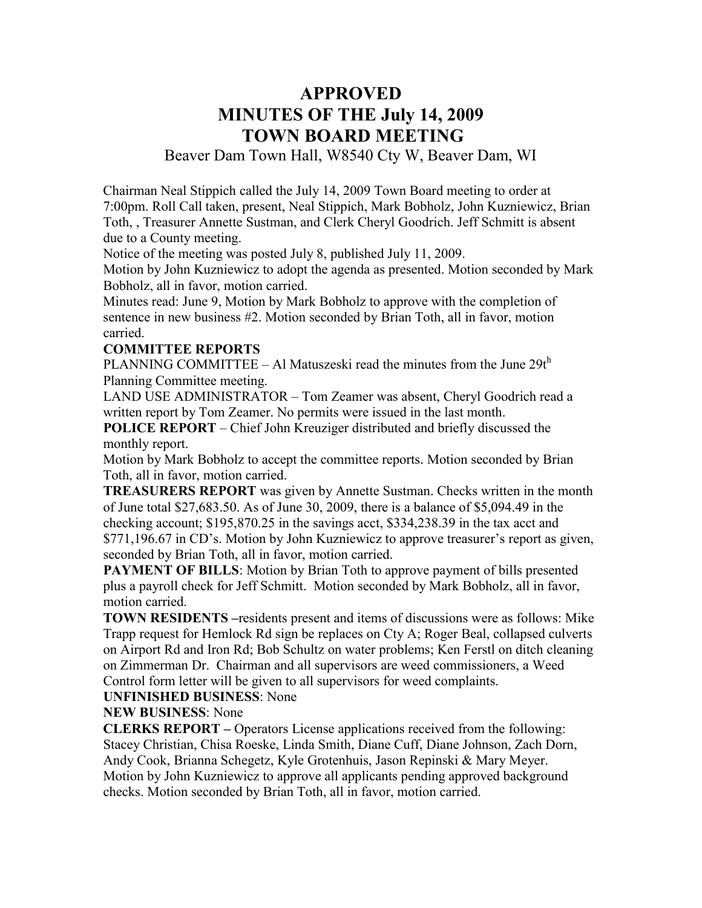# **APPROVED MINUTES OF THE July 14, 2009 TOWN BOARD MEETING**

Beaver Dam Town Hall, W8540 Cty W, Beaver Dam, WI

Chairman Neal Stippich called the July 14, 2009 Town Board meeting to order at 7:00pm. Roll Call taken, present, Neal Stippich, Mark Bobholz, John Kuzniewicz, Brian Toth, , Treasurer Annette Sustman, and Clerk Cheryl Goodrich. Jeff Schmitt is absent due to a County meeting.

Notice of the meeting was posted July 8, published July 11, 2009.

Motion by John Kuzniewicz to adopt the agenda as presented. Motion seconded by Mark Bobholz, all in favor, motion carried.

Minutes read: June 9, Motion by Mark Bobholz to approve with the completion of sentence in new business #2. Motion seconded by Brian Toth, all in favor, motion carried.

#### **COMMITTEE REPORTS**

PLANNING COMMITTEE – Al Matuszeski read the minutes from the June  $29t<sup>h</sup>$ Planning Committee meeting.

LAND USE ADMINISTRATOR – Tom Zeamer was absent, Cheryl Goodrich read a written report by Tom Zeamer. No permits were issued in the last month.

**POLICE REPORT** – Chief John Kreuziger distributed and briefly discussed the monthly report.

Motion by Mark Bobholz to accept the committee reports. Motion seconded by Brian Toth, all in favor, motion carried.

**TREASURERS REPORT** was given by Annette Sustman. Checks written in the month of June total \$27,683.50. As of June 30, 2009, there is a balance of \$5,094.49 in the checking account; \$195,870.25 in the savings acct, \$334,238.39 in the tax acct and \$771,196.67 in CD's. Motion by John Kuzniewicz to approve treasurer's report as given, seconded by Brian Toth, all in favor, motion carried.

**PAYMENT OF BILLS:** Motion by Brian Toth to approve payment of bills presented plus a payroll check for Jeff Schmitt. Motion seconded by Mark Bobholz, all in favor, motion carried.

**TOWN RESIDENTS –**residents present and items of discussions were as follows: Mike Trapp request for Hemlock Rd sign be replaces on Cty A; Roger Beal, collapsed culverts on Airport Rd and Iron Rd; Bob Schultz on water problems; Ken Ferstl on ditch cleaning on Zimmerman Dr. Chairman and all supervisors are weed commissioners, a Weed Control form letter will be given to all supervisors for weed complaints.

**UNFINISHED BUSINESS**: None

**NEW BUSINESS**: None

**CLERKS REPORT –** Operators License applications received from the following: Stacey Christian, Chisa Roeske, Linda Smith, Diane Cuff, Diane Johnson, Zach Dorn, Andy Cook, Brianna Schegetz, Kyle Grotenhuis, Jason Repinski & Mary Meyer. Motion by John Kuzniewicz to approve all applicants pending approved background checks. Motion seconded by Brian Toth, all in favor, motion carried.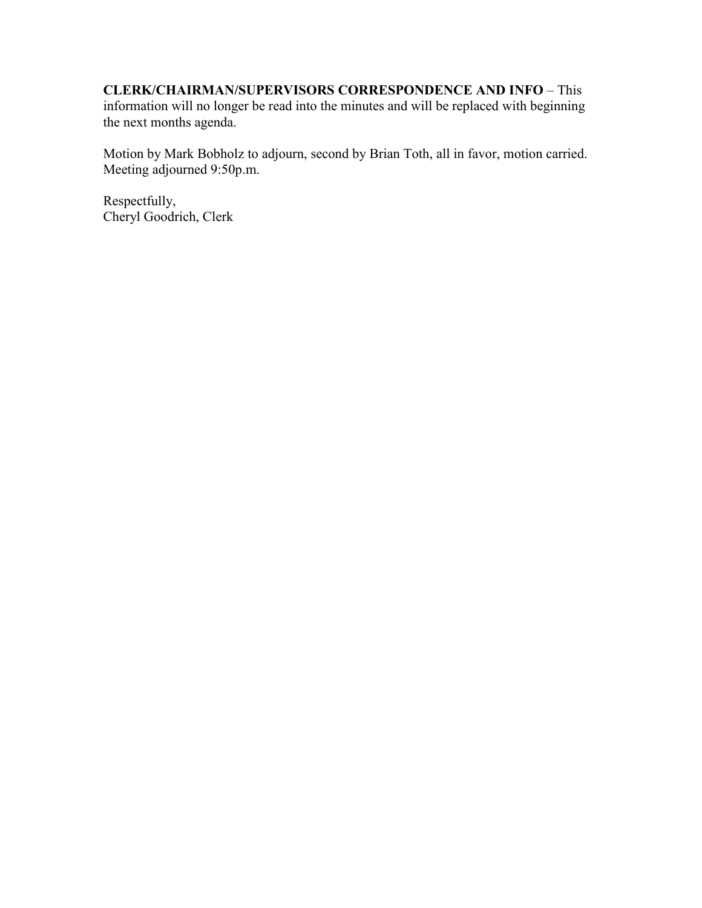### **CLERK/CHAIRMAN/SUPERVISORS CORRESPONDENCE AND INFO** – This information will no longer be read into the minutes and will be replaced with beginning the next months agenda.

Motion by Mark Bobholz to adjourn, second by Brian Toth, all in favor, motion carried. Meeting adjourned 9:50p.m.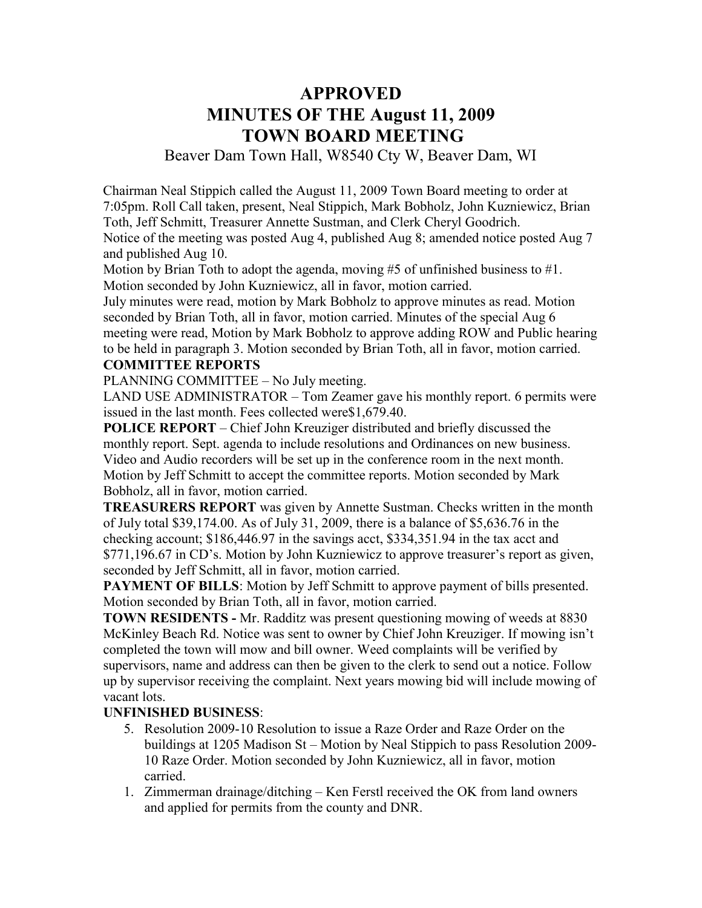## **APPROVED MINUTES OF THE August 11, 2009 TOWN BOARD MEETING**

Beaver Dam Town Hall, W8540 Cty W, Beaver Dam, WI

Chairman Neal Stippich called the August 11, 2009 Town Board meeting to order at 7:05pm. Roll Call taken, present, Neal Stippich, Mark Bobholz, John Kuzniewicz, Brian Toth, Jeff Schmitt, Treasurer Annette Sustman, and Clerk Cheryl Goodrich. Notice of the meeting was posted Aug 4, published Aug 8; amended notice posted Aug 7 and published Aug 10.

Motion by Brian Toth to adopt the agenda, moving #5 of unfinished business to #1. Motion seconded by John Kuzniewicz, all in favor, motion carried.

July minutes were read, motion by Mark Bobholz to approve minutes as read. Motion seconded by Brian Toth, all in favor, motion carried. Minutes of the special Aug 6 meeting were read, Motion by Mark Bobholz to approve adding ROW and Public hearing to be held in paragraph 3. Motion seconded by Brian Toth, all in favor, motion carried.

#### **COMMITTEE REPORTS**

PLANNING COMMITTEE – No July meeting.

LAND USE ADMINISTRATOR – Tom Zeamer gave his monthly report. 6 permits were issued in the last month. Fees collected were\$1,679.40.

**POLICE REPORT** – Chief John Kreuziger distributed and briefly discussed the monthly report. Sept. agenda to include resolutions and Ordinances on new business. Video and Audio recorders will be set up in the conference room in the next month. Motion by Jeff Schmitt to accept the committee reports. Motion seconded by Mark Bobholz, all in favor, motion carried.

**TREASURERS REPORT** was given by Annette Sustman. Checks written in the month of July total \$39,174.00. As of July 31, 2009, there is a balance of \$5,636.76 in the checking account; \$186,446.97 in the savings acct, \$334,351.94 in the tax acct and \$771,196.67 in CD's. Motion by John Kuzniewicz to approve treasurer's report as given, seconded by Jeff Schmitt, all in favor, motion carried.

**PAYMENT OF BILLS:** Motion by Jeff Schmitt to approve payment of bills presented. Motion seconded by Brian Toth, all in favor, motion carried.

**TOWN RESIDENTS -** Mr. Radditz was present questioning mowing of weeds at 8830 McKinley Beach Rd. Notice was sent to owner by Chief John Kreuziger. If mowing isn't completed the town will mow and bill owner. Weed complaints will be verified by supervisors, name and address can then be given to the clerk to send out a notice. Follow up by supervisor receiving the complaint. Next years mowing bid will include mowing of vacant lots.

#### **UNFINISHED BUSINESS**:

- 5. Resolution 2009-10 Resolution to issue a Raze Order and Raze Order on the buildings at 1205 Madison St – Motion by Neal Stippich to pass Resolution 2009- 10 Raze Order. Motion seconded by John Kuzniewicz, all in favor, motion carried.
- 1. Zimmerman drainage/ditching Ken Ferstl received the OK from land owners and applied for permits from the county and DNR.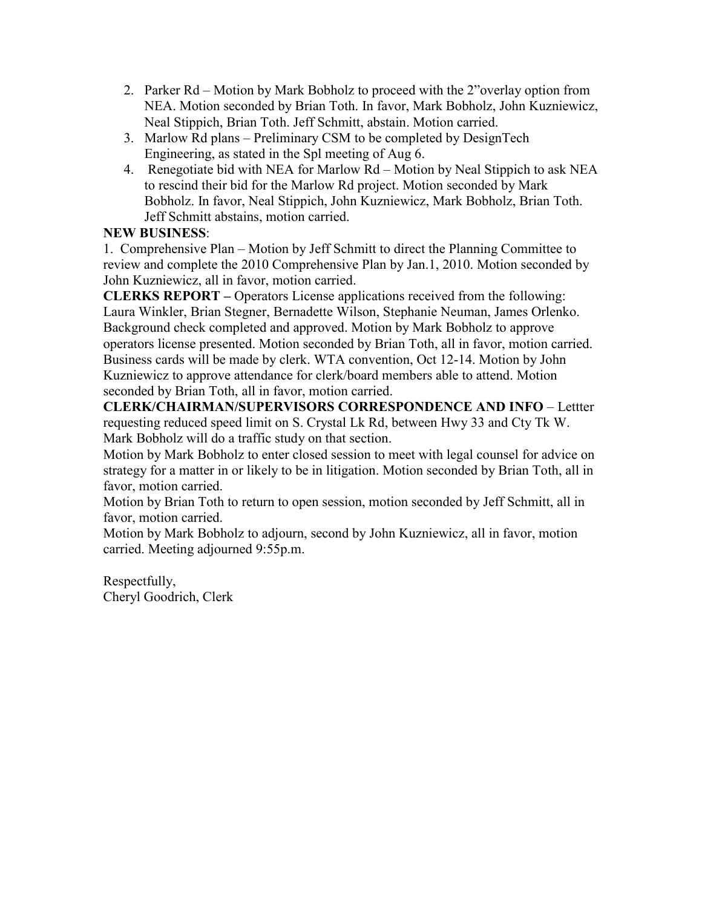- 2. Parker Rd Motion by Mark Bobholz to proceed with the 2"overlay option from NEA. Motion seconded by Brian Toth. In favor, Mark Bobholz, John Kuzniewicz, Neal Stippich, Brian Toth. Jeff Schmitt, abstain. Motion carried.
- 3. Marlow Rd plans Preliminary CSM to be completed by DesignTech Engineering, as stated in the Spl meeting of Aug 6.
- 4. Renegotiate bid with NEA for Marlow Rd Motion by Neal Stippich to ask NEA to rescind their bid for the Marlow Rd project. Motion seconded by Mark Bobholz. In favor, Neal Stippich, John Kuzniewicz, Mark Bobholz, Brian Toth. Jeff Schmitt abstains, motion carried.

## **NEW BUSINESS**:

1. Comprehensive Plan – Motion by Jeff Schmitt to direct the Planning Committee to review and complete the 2010 Comprehensive Plan by Jan.1, 2010. Motion seconded by John Kuzniewicz, all in favor, motion carried.

**CLERKS REPORT –** Operators License applications received from the following: Laura Winkler, Brian Stegner, Bernadette Wilson, Stephanie Neuman, James Orlenko. Background check completed and approved. Motion by Mark Bobholz to approve operators license presented. Motion seconded by Brian Toth, all in favor, motion carried. Business cards will be made by clerk. WTA convention, Oct 12-14. Motion by John Kuzniewicz to approve attendance for clerk/board members able to attend. Motion seconded by Brian Toth, all in favor, motion carried.

**CLERK/CHAIRMAN/SUPERVISORS CORRESPONDENCE AND INFO** – Lettter requesting reduced speed limit on S. Crystal Lk Rd, between Hwy 33 and Cty Tk W. Mark Bobholz will do a traffic study on that section.

Motion by Mark Bobholz to enter closed session to meet with legal counsel for advice on strategy for a matter in or likely to be in litigation. Motion seconded by Brian Toth, all in favor, motion carried.

Motion by Brian Toth to return to open session, motion seconded by Jeff Schmitt, all in favor, motion carried.

Motion by Mark Bobholz to adjourn, second by John Kuzniewicz, all in favor, motion carried. Meeting adjourned 9:55p.m.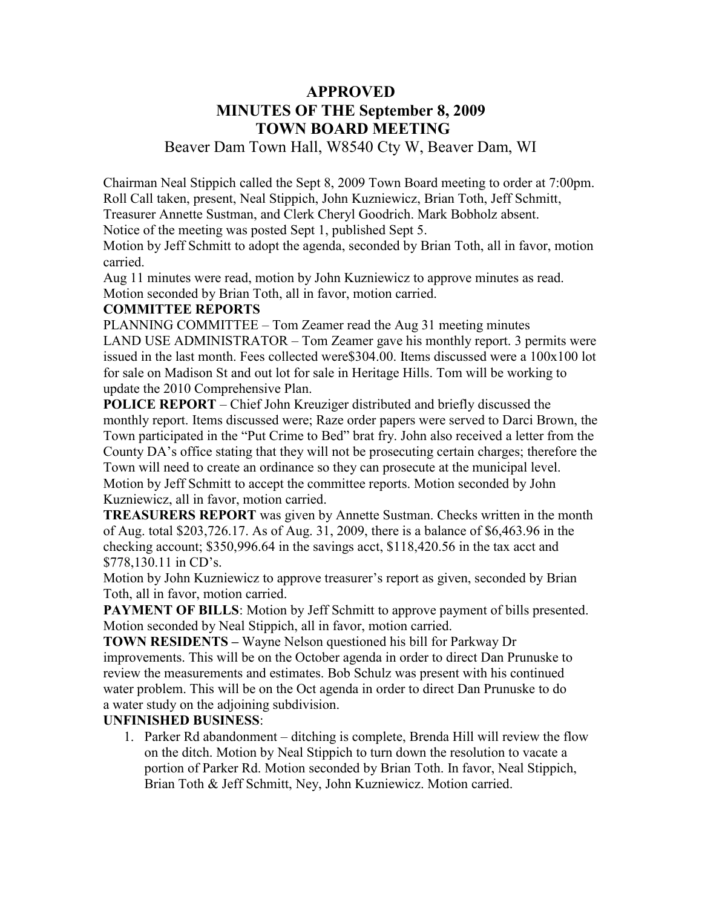## **APPROVED MINUTES OF THE September 8, 2009 TOWN BOARD MEETING**

## Beaver Dam Town Hall, W8540 Cty W, Beaver Dam, WI

Chairman Neal Stippich called the Sept 8, 2009 Town Board meeting to order at 7:00pm. Roll Call taken, present, Neal Stippich, John Kuzniewicz, Brian Toth, Jeff Schmitt, Treasurer Annette Sustman, and Clerk Cheryl Goodrich. Mark Bobholz absent.

Notice of the meeting was posted Sept 1, published Sept 5.

Motion by Jeff Schmitt to adopt the agenda, seconded by Brian Toth, all in favor, motion carried.

Aug 11 minutes were read, motion by John Kuzniewicz to approve minutes as read. Motion seconded by Brian Toth, all in favor, motion carried.

#### **COMMITTEE REPORTS**

PLANNING COMMITTEE – Tom Zeamer read the Aug 31 meeting minutes LAND USE ADMINISTRATOR – Tom Zeamer gave his monthly report. 3 permits were issued in the last month. Fees collected were\$304.00. Items discussed were a 100x100 lot for sale on Madison St and out lot for sale in Heritage Hills. Tom will be working to update the 2010 Comprehensive Plan.

**POLICE REPORT** – Chief John Kreuziger distributed and briefly discussed the monthly report. Items discussed were; Raze order papers were served to Darci Brown, the Town participated in the "Put Crime to Bed" brat fry. John also received a letter from the County DA's office stating that they will not be prosecuting certain charges; therefore the Town will need to create an ordinance so they can prosecute at the municipal level. Motion by Jeff Schmitt to accept the committee reports. Motion seconded by John Kuzniewicz, all in favor, motion carried.

**TREASURERS REPORT** was given by Annette Sustman. Checks written in the month of Aug. total \$203,726.17. As of Aug. 31, 2009, there is a balance of \$6,463.96 in the checking account; \$350,996.64 in the savings acct, \$118,420.56 in the tax acct and \$778,130.11 in CD's.

Motion by John Kuzniewicz to approve treasurer's report as given, seconded by Brian Toth, all in favor, motion carried.

**PAYMENT OF BILLS:** Motion by Jeff Schmitt to approve payment of bills presented. Motion seconded by Neal Stippich, all in favor, motion carried.

**TOWN RESIDENTS –** Wayne Nelson questioned his bill for Parkway Dr improvements. This will be on the October agenda in order to direct Dan Prunuske to review the measurements and estimates. Bob Schulz was present with his continued water problem. This will be on the Oct agenda in order to direct Dan Prunuske to do a water study on the adjoining subdivision.

## **UNFINISHED BUSINESS**:

1. Parker Rd abandonment – ditching is complete, Brenda Hill will review the flow on the ditch. Motion by Neal Stippich to turn down the resolution to vacate a portion of Parker Rd. Motion seconded by Brian Toth. In favor, Neal Stippich, Brian Toth & Jeff Schmitt, Ney, John Kuzniewicz. Motion carried.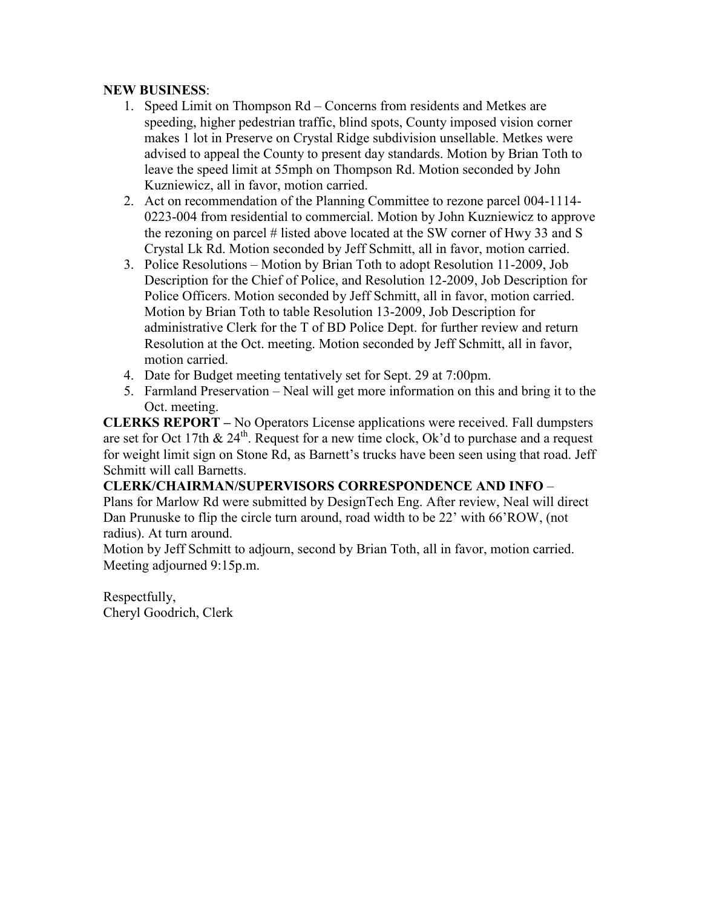#### **NEW BUSINESS**:

- 1. Speed Limit on Thompson Rd Concerns from residents and Metkes are speeding, higher pedestrian traffic, blind spots, County imposed vision corner makes 1 lot in Preserve on Crystal Ridge subdivision unsellable. Metkes were advised to appeal the County to present day standards. Motion by Brian Toth to leave the speed limit at 55mph on Thompson Rd. Motion seconded by John Kuzniewicz, all in favor, motion carried.
- 2. Act on recommendation of the Planning Committee to rezone parcel 004-1114- 0223-004 from residential to commercial. Motion by John Kuzniewicz to approve the rezoning on parcel # listed above located at the SW corner of Hwy 33 and S Crystal Lk Rd. Motion seconded by Jeff Schmitt, all in favor, motion carried.
- 3. Police Resolutions Motion by Brian Toth to adopt Resolution 11-2009, Job Description for the Chief of Police, and Resolution 12-2009, Job Description for Police Officers. Motion seconded by Jeff Schmitt, all in favor, motion carried. Motion by Brian Toth to table Resolution 13-2009, Job Description for administrative Clerk for the T of BD Police Dept. for further review and return Resolution at the Oct. meeting. Motion seconded by Jeff Schmitt, all in favor, motion carried.
- 4. Date for Budget meeting tentatively set for Sept. 29 at 7:00pm.
- 5. Farmland Preservation Neal will get more information on this and bring it to the Oct. meeting.

**CLERKS REPORT –** No Operators License applications were received. Fall dumpsters are set for Oct 17th  $& 24<sup>th</sup>$ . Request for a new time clock, Ok'd to purchase and a request for weight limit sign on Stone Rd, as Barnett's trucks have been seen using that road. Jeff Schmitt will call Barnetts.

**CLERK/CHAIRMAN/SUPERVISORS CORRESPONDENCE AND INFO** – Plans for Marlow Rd were submitted by DesignTech Eng. After review, Neal will direct Dan Prunuske to flip the circle turn around, road width to be 22' with 66'ROW, (not radius). At turn around.

Motion by Jeff Schmitt to adjourn, second by Brian Toth, all in favor, motion carried. Meeting adjourned 9:15p.m.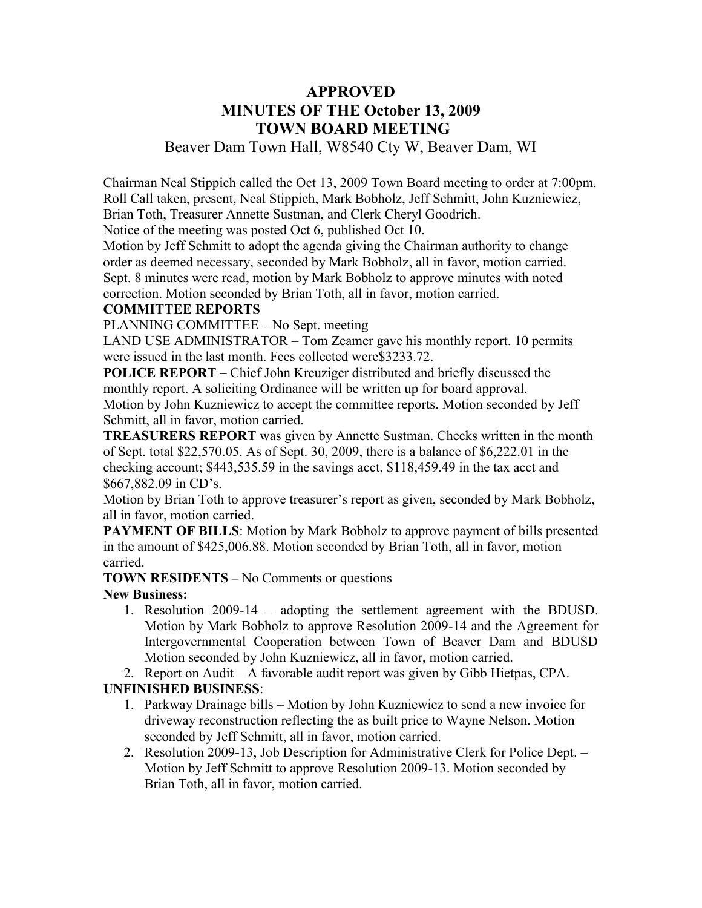## **APPROVED MINUTES OF THE October 13, 2009 TOWN BOARD MEETING**

### Beaver Dam Town Hall, W8540 Cty W, Beaver Dam, WI

Chairman Neal Stippich called the Oct 13, 2009 Town Board meeting to order at 7:00pm. Roll Call taken, present, Neal Stippich, Mark Bobholz, Jeff Schmitt, John Kuzniewicz, Brian Toth, Treasurer Annette Sustman, and Clerk Cheryl Goodrich.

Notice of the meeting was posted Oct 6, published Oct 10.

Motion by Jeff Schmitt to adopt the agenda giving the Chairman authority to change order as deemed necessary, seconded by Mark Bobholz, all in favor, motion carried. Sept. 8 minutes were read, motion by Mark Bobholz to approve minutes with noted correction. Motion seconded by Brian Toth, all in favor, motion carried.

#### **COMMITTEE REPORTS**

PLANNING COMMITTEE – No Sept. meeting

LAND USE ADMINISTRATOR – Tom Zeamer gave his monthly report. 10 permits were issued in the last month. Fees collected were\$3233.72.

**POLICE REPORT** – Chief John Kreuziger distributed and briefly discussed the monthly report. A soliciting Ordinance will be written up for board approval. Motion by John Kuzniewicz to accept the committee reports. Motion seconded by Jeff Schmitt, all in favor, motion carried.

**TREASURERS REPORT** was given by Annette Sustman. Checks written in the month of Sept. total \$22,570.05. As of Sept. 30, 2009, there is a balance of \$6,222.01 in the checking account; \$443,535.59 in the savings acct, \$118,459.49 in the tax acct and \$667,882.09 in CD's.

Motion by Brian Toth to approve treasurer's report as given, seconded by Mark Bobholz, all in favor, motion carried.

**PAYMENT OF BILLS:** Motion by Mark Bobholz to approve payment of bills presented in the amount of \$425,006.88. Motion seconded by Brian Toth, all in favor, motion carried.

**TOWN RESIDENTS –** No Comments or questions

#### **New Business:**

- 1. Resolution 2009-14 adopting the settlement agreement with the BDUSD. Motion by Mark Bobholz to approve Resolution 2009-14 and the Agreement for Intergovernmental Cooperation between Town of Beaver Dam and BDUSD Motion seconded by John Kuzniewicz, all in favor, motion carried.
- 2. Report on Audit A favorable audit report was given by Gibb Hietpas, CPA.

#### **UNFINISHED BUSINESS**:

- 1. Parkway Drainage bills Motion by John Kuzniewicz to send a new invoice for driveway reconstruction reflecting the as built price to Wayne Nelson. Motion seconded by Jeff Schmitt, all in favor, motion carried.
- 2. Resolution 2009-13, Job Description for Administrative Clerk for Police Dept. Motion by Jeff Schmitt to approve Resolution 2009-13. Motion seconded by Brian Toth, all in favor, motion carried.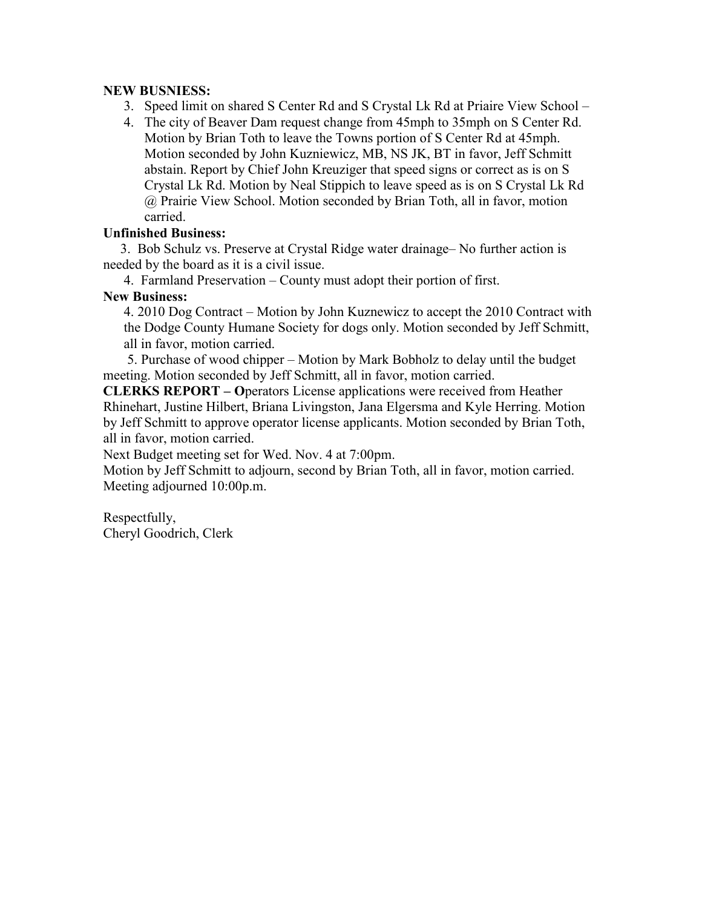#### **NEW BUSNIESS:**

- 3. Speed limit on shared S Center Rd and S Crystal Lk Rd at Priaire View School –
- 4. The city of Beaver Dam request change from 45mph to 35mph on S Center Rd. Motion by Brian Toth to leave the Towns portion of S Center Rd at 45mph. Motion seconded by John Kuzniewicz, MB, NS JK, BT in favor, Jeff Schmitt abstain. Report by Chief John Kreuziger that speed signs or correct as is on S Crystal Lk Rd. Motion by Neal Stippich to leave speed as is on S Crystal Lk Rd @ Prairie View School. Motion seconded by Brian Toth, all in favor, motion carried.

#### **Unfinished Business:**

 3. Bob Schulz vs. Preserve at Crystal Ridge water drainage– No further action is needed by the board as it is a civil issue.

4. Farmland Preservation – County must adopt their portion of first.

#### **New Business:**

4. 2010 Dog Contract – Motion by John Kuznewicz to accept the 2010 Contract with the Dodge County Humane Society for dogs only. Motion seconded by Jeff Schmitt, all in favor, motion carried.

 5. Purchase of wood chipper – Motion by Mark Bobholz to delay until the budget meeting. Motion seconded by Jeff Schmitt, all in favor, motion carried.

**CLERKS REPORT – O**perators License applications were received from Heather Rhinehart, Justine Hilbert, Briana Livingston, Jana Elgersma and Kyle Herring. Motion by Jeff Schmitt to approve operator license applicants. Motion seconded by Brian Toth, all in favor, motion carried.

Next Budget meeting set for Wed. Nov. 4 at 7:00pm.

Motion by Jeff Schmitt to adjourn, second by Brian Toth, all in favor, motion carried. Meeting adjourned 10:00p.m.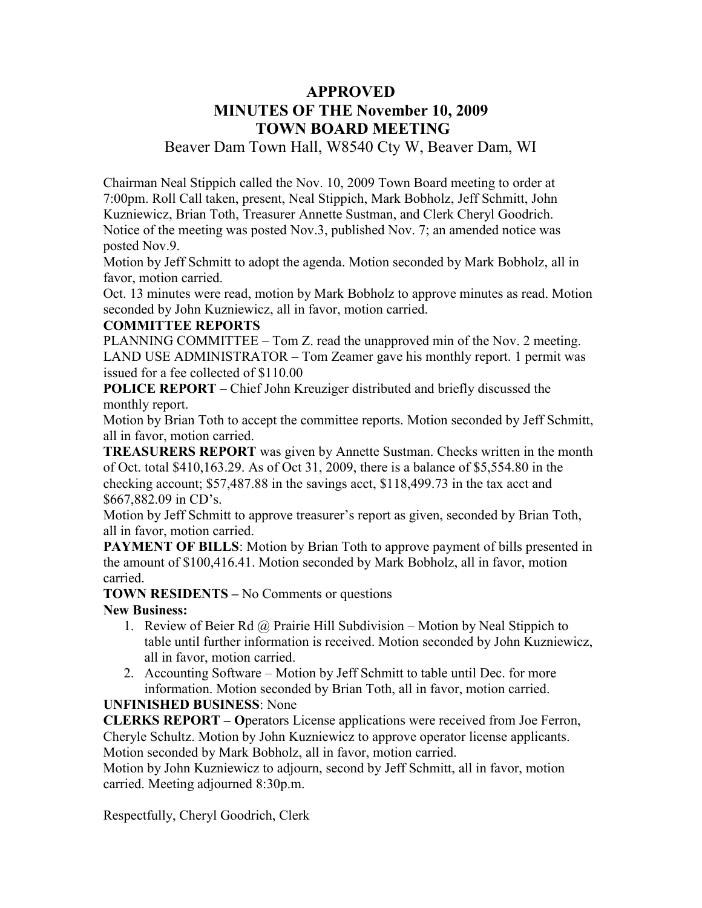## **APPROVED MINUTES OF THE November 10, 2009 TOWN BOARD MEETING**

Beaver Dam Town Hall, W8540 Cty W, Beaver Dam, WI

Chairman Neal Stippich called the Nov. 10, 2009 Town Board meeting to order at 7:00pm. Roll Call taken, present, Neal Stippich, Mark Bobholz, Jeff Schmitt, John Kuzniewicz, Brian Toth, Treasurer Annette Sustman, and Clerk Cheryl Goodrich. Notice of the meeting was posted Nov.3, published Nov. 7; an amended notice was posted Nov.9.

Motion by Jeff Schmitt to adopt the agenda. Motion seconded by Mark Bobholz, all in favor, motion carried.

Oct. 13 minutes were read, motion by Mark Bobholz to approve minutes as read. Motion seconded by John Kuzniewicz, all in favor, motion carried.

#### **COMMITTEE REPORTS**

PLANNING COMMITTEE – Tom Z. read the unapproved min of the Nov. 2 meeting. LAND USE ADMINISTRATOR – Tom Zeamer gave his monthly report. 1 permit was issued for a fee collected of \$110.00

**POLICE REPORT** – Chief John Kreuziger distributed and briefly discussed the monthly report.

Motion by Brian Toth to accept the committee reports. Motion seconded by Jeff Schmitt, all in favor, motion carried.

**TREASURERS REPORT** was given by Annette Sustman. Checks written in the month of Oct. total \$410,163.29. As of Oct 31, 2009, there is a balance of \$5,554.80 in the checking account; \$57,487.88 in the savings acct, \$118,499.73 in the tax acct and \$667,882.09 in CD's.

Motion by Jeff Schmitt to approve treasurer's report as given, seconded by Brian Toth, all in favor, motion carried.

**PAYMENT OF BILLS:** Motion by Brian Toth to approve payment of bills presented in the amount of \$100,416.41. Motion seconded by Mark Bobholz, all in favor, motion carried.

**TOWN RESIDENTS –** No Comments or questions

#### **New Business:**

- 1. Review of Beier Rd  $\omega$  Prairie Hill Subdivision Motion by Neal Stippich to table until further information is received. Motion seconded by John Kuzniewicz, all in favor, motion carried.
- 2. Accounting Software Motion by Jeff Schmitt to table until Dec. for more information. Motion seconded by Brian Toth, all in favor, motion carried.

#### **UNFINISHED BUSINESS**: None

**CLERKS REPORT – O**perators License applications were received from Joe Ferron, Cheryle Schultz. Motion by John Kuzniewicz to approve operator license applicants. Motion seconded by Mark Bobholz, all in favor, motion carried.

Motion by John Kuzniewicz to adjourn, second by Jeff Schmitt, all in favor, motion carried. Meeting adjourned 8:30p.m.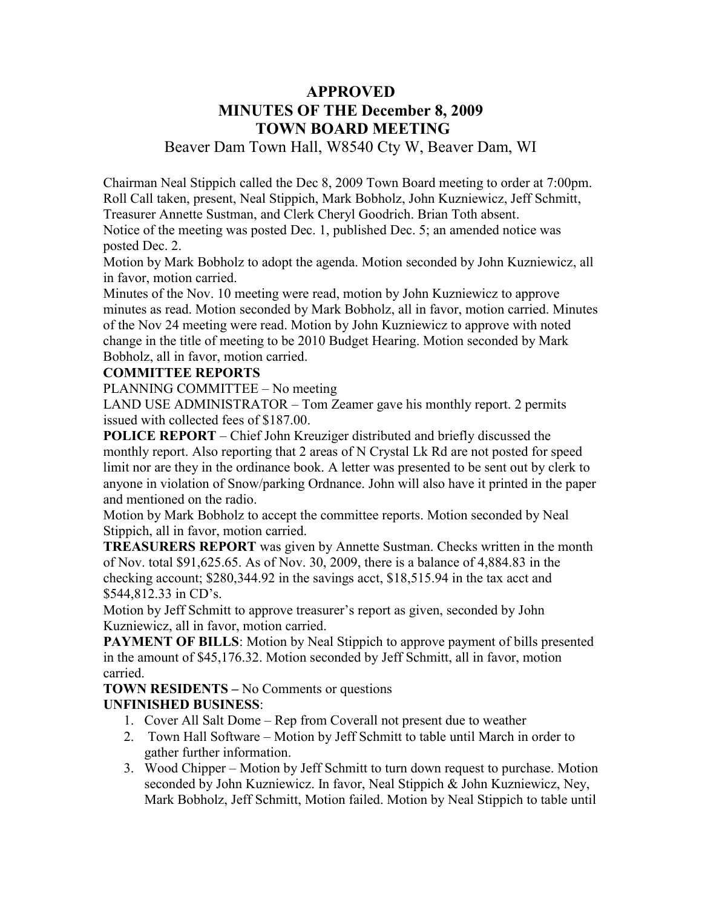## **APPROVED MINUTES OF THE December 8, 2009 TOWN BOARD MEETING**

Beaver Dam Town Hall, W8540 Cty W, Beaver Dam, WI

Chairman Neal Stippich called the Dec 8, 2009 Town Board meeting to order at 7:00pm. Roll Call taken, present, Neal Stippich, Mark Bobholz, John Kuzniewicz, Jeff Schmitt, Treasurer Annette Sustman, and Clerk Cheryl Goodrich. Brian Toth absent. Notice of the meeting was posted Dec. 1, published Dec. 5; an amended notice was posted Dec. 2.

Motion by Mark Bobholz to adopt the agenda. Motion seconded by John Kuzniewicz, all in favor, motion carried.

Minutes of the Nov. 10 meeting were read, motion by John Kuzniewicz to approve minutes as read. Motion seconded by Mark Bobholz, all in favor, motion carried. Minutes of the Nov 24 meeting were read. Motion by John Kuzniewicz to approve with noted change in the title of meeting to be 2010 Budget Hearing. Motion seconded by Mark Bobholz, all in favor, motion carried.

#### **COMMITTEE REPORTS**

PLANNING COMMITTEE – No meeting

LAND USE ADMINISTRATOR – Tom Zeamer gave his monthly report. 2 permits issued with collected fees of \$187.00.

**POLICE REPORT** – Chief John Kreuziger distributed and briefly discussed the monthly report. Also reporting that 2 areas of N Crystal Lk Rd are not posted for speed limit nor are they in the ordinance book. A letter was presented to be sent out by clerk to anyone in violation of Snow/parking Ordnance. John will also have it printed in the paper and mentioned on the radio.

Motion by Mark Bobholz to accept the committee reports. Motion seconded by Neal Stippich, all in favor, motion carried.

**TREASURERS REPORT** was given by Annette Sustman. Checks written in the month of Nov. total \$91,625.65. As of Nov. 30, 2009, there is a balance of 4,884.83 in the checking account; \$280,344.92 in the savings acct, \$18,515.94 in the tax acct and \$544,812.33 in CD's.

Motion by Jeff Schmitt to approve treasurer's report as given, seconded by John Kuzniewicz, all in favor, motion carried.

**PAYMENT OF BILLS:** Motion by Neal Stippich to approve payment of bills presented in the amount of \$45,176.32. Motion seconded by Jeff Schmitt, all in favor, motion carried.

**TOWN RESIDENTS –** No Comments or questions

#### **UNFINISHED BUSINESS**:

- 1. Cover All Salt Dome Rep from Coverall not present due to weather
- 2. Town Hall Software Motion by Jeff Schmitt to table until March in order to gather further information.
- 3. Wood Chipper Motion by Jeff Schmitt to turn down request to purchase. Motion seconded by John Kuzniewicz. In favor, Neal Stippich & John Kuzniewicz, Ney, Mark Bobholz, Jeff Schmitt, Motion failed. Motion by Neal Stippich to table until